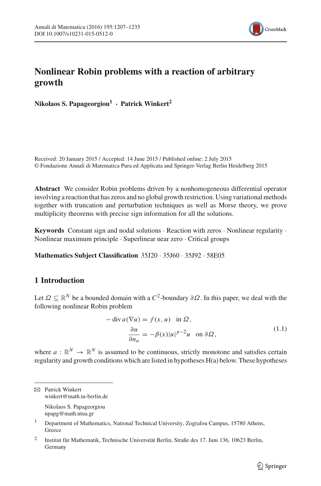

# **Nonlinear Robin problems with a reaction of arbitrary growth**

**Nikolaos S. Papageorgiou1 · Patrick Winkert2**

Received: 20 January 2015 / Accepted: 14 June 2015 / Published online: 2 July 2015 © Fondazione Annali di Matematica Pura ed Applicata and Springer-Verlag Berlin Heidelberg 2015

**Abstract** We consider Robin problems driven by a nonhomogeneous differential operator involving a reaction that has zeros and no global growth restriction. Using variational methods together with truncation and perturbation techniques as well as Morse theory, we prove multiplicity theorems with precise sign information for all the solutions.

**Keywords** Constant sign and nodal solutions · Reaction with zeros · Nonlinear regularity · Nonlinear maximum principle · Superlinear near zero · Critical groups

**Mathematics Subject Classification** 35J20 · 35J60 · 35J92 · 58E05

## **1 Introduction**

Let  $\Omega \subseteq \mathbb{R}^N$  be a bounded domain with a  $C^2$ -boundary  $\partial \Omega$ . In this paper, we deal with the following nonlinear Robin problem

$$
-\operatorname{div} a(\nabla u) = f(x, u) \text{ in } \Omega,
$$
  

$$
\frac{\partial u}{\partial n_a} = -\beta(x)|u|^{p-2}u \text{ on } \partial\Omega,
$$
 (1.1)

<span id="page-0-0"></span>where  $a : \mathbb{R}^N \to \mathbb{R}^N$  is assumed to be continuous, strictly monotone and satisfies certain regularity and growth conditions which are listed in hypotheses H(a) below. These hypotheses

npapg@math.ntua.gr

 $\boxtimes$  Patrick Winkert winkert@math.tu-berlin.de Nikolaos S. Papageorgiou

<sup>&</sup>lt;sup>1</sup> Department of Mathematics, National Technical University, Zografou Campus, 15780 Athens, **Greece** 

<sup>2</sup> Institut für Mathematik, Technische Universität Berlin, Straße des 17. Juni 136, 10623 Berlin, Germany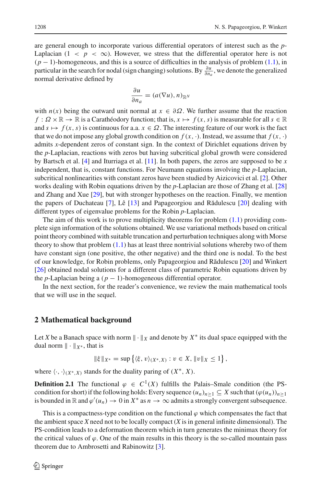are general enough to incorporate various differential operators of interest such as the *p*-Laplacian  $(1 \lt p \lt \infty)$ . However, we stress that the differential operator here is not (*p* − 1)-homogeneous, and this is a source of difficulties in the analysis of problem [\(1.1\)](#page-0-0), in particular in the search for nodal (sign changing) solutions. By  $\frac{\partial u}{\partial n_a}$ , we denote the generalized normal derivative defined by

$$
\frac{\partial u}{\partial n_a} = (a(\nabla u), n)_{\mathbb{R}^N}
$$

with  $n(x)$  being the outward unit normal at  $x \in \partial \Omega$ . We further assume that the reaction  $f: \Omega \times \mathbb{R} \to \mathbb{R}$  is a Carathéodory function; that is,  $x \mapsto f(x, s)$  is measurable for all  $s \in \mathbb{R}$ and  $s \mapsto f(x, s)$  is continuous for a.a.  $x \in \Omega$ . The interesting feature of our work is the fact that we do not impose any global growth condition on  $f(x, \cdot)$ . Instead, we assume that  $f(x, \cdot)$ admits *x*-dependent zeros of constant sign. In the context of Dirichlet equations driven by the *p*-Laplacian, reactions with zeros but having subcritical global growth were considered by Bartsch et al. [\[4\]](#page-28-0) and Iturriaga et al. [\[11\]](#page-28-1). In both papers, the zeros are supposed to be *x* independent, that is, constant functions. For Neumann equations involving the *p*-Laplacian, subcritical nonlinearities with constant zeros have been studied by Aizicovici et al. [\[2](#page-28-2)]. Other works dealing with Robin equations driven by the *p*-Laplacian are those of Zhang et al. [\[28\]](#page-28-3) and Zhang and Xue [\[29\]](#page-28-4), but with stronger hypotheses on the reaction. Finally, we mention the papers of Duchateau [\[7\]](#page-28-5), Lê  $[13]$  and Papageorgiou and Rădulescu  $[20]$  dealing with different types of eigenvalue problems for the Robin *p*-Laplacian.

The aim of this work is to prove multiplicity theorems for problem  $(1.1)$  providing complete sign information of the solutions obtained. We use variational methods based on critical point theory combined with suitable truncation and perturbation techniques along with Morse theory to show that problem  $(1.1)$  has at least three nontrivial solutions whereby two of them have constant sign (one positive, the other negative) and the third one is nodal. To the best of our knowledge, for Robin problems, only Papageorgiou and Rădulescu [\[20\]](#page-28-7) and Winkert [\[26\]](#page-28-8) obtained nodal solutions for a different class of parametric Robin equations driven by the *p*-Laplacian being a  $(p - 1)$ -homogeneous differential operator.

In the next section, for the reader's convenience, we review the main mathematical tools that we will use in the sequel.

#### **2 Mathematical background**

Let *X* be a Banach space with norm  $\|\cdot\|_X$  and denote by  $X^*$  its dual space equipped with the dual norm  $\|\cdot\|_{X^*}$ , that is

$$
\|\xi\|_{X^*} = \sup \{ \langle \xi, v \rangle_{(X^*,X)} : v \in X, \|v\|_X \le 1 \},
$$

where  $\langle \cdot, \cdot \rangle_{(X^*, X)}$  stands for the duality paring of  $(X^*, X)$ .

**Definition 2.1** The functional  $\varphi \in C^1(X)$  fulfills the Palais–Smale condition (the PScondition for short) if the following holds: Every sequence  $(u_n)_{n>1} \subseteq X$  such that  $(\varphi(u_n))_{n\geq1}$ is bounded in  $\mathbb R$  and  $\varphi'(u_n) \to 0$  in  $X^*$  as  $n \to \infty$  admits a strongly convergent subsequence.

<span id="page-1-0"></span>This is a compactness-type condition on the functional  $\varphi$  which compensates the fact that the ambient space *X* need not to be locally compact (*X* is in general infinite dimensional). The PS-condition leads to a deformation theorem which in turn generates the minimax theory for the critical values of  $\varphi$ . One of the main results in this theory is the so-called mountain pass theorem due to Ambrosetti and Rabinowitz [\[3\]](#page-28-9).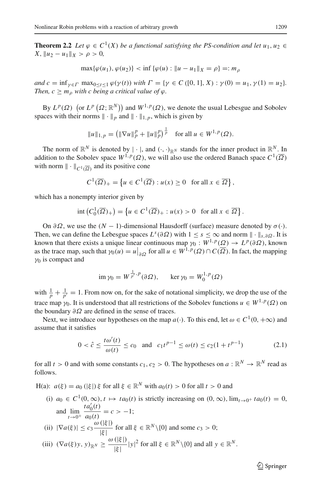**Theorem 2.2** *Let*  $\varphi \in C^1(X)$  *be a functional satisfying the PS-condition and let*  $u_1, u_2 \in C^1(X)$  $X, \|u_2 - u_1\|_X > \rho > 0,$ 

$$
\max{\{\varphi(u_1), \varphi(u_2)\}} < \inf{\{\varphi(u) : \|u - u_1\|_X = \rho\}} =: m_\rho
$$

*and*  $c = \inf_{\gamma \in \Gamma} \max_{0 \le t \le 1} \varphi(\gamma(t))$  *with*  $\Gamma = \{ \gamma \in C([0, 1], X) : \gamma(0) = u_1, \gamma(1) = u_2 \}.$ *Then,*  $c \geq m_o$  *with c being a critical value of*  $\varphi$ *.* 

By  $L^p(\Omega)$  (or  $L^p(\Omega; \mathbb{R}^N)$ ) and  $W^{1,p}(\Omega)$ , we denote the usual Lebesgue and Sobolev spaces with their norms  $\|\cdot\|_p$  and  $\|\cdot\|_{1,p}$ , which is given by

$$
||u||_{1,p} = \left( \|\nabla u\|_p^p + \|u\|_p^p \right)^{\frac{1}{p}} \quad \text{for all } u \in W^{1,p}(\Omega).
$$

The norm of  $\mathbb{R}^N$  is denoted by  $|\cdot|$ , and  $(\cdot, \cdot)_{\mathbb{R}^N}$  stands for the inner product in  $\mathbb{R}^N$ . In addition to the Sobolev space  $W^{1,p}(\Omega)$ , we will also use the ordered Banach space  $C^1(\overline{\Omega})$ with norm  $\|\cdot\|_{C^1(\overline{\Omega})}$  and its positive cone

$$
C^1(\overline{\Omega})_+ = \left\{ u \in C^1(\overline{\Omega}) : u(x) \ge 0 \text{ for all } x \in \overline{\Omega} \right\},\
$$

which has a nonempty interior given by

$$
\operatorname{int}\left(C_0^1(\overline{\Omega})_+\right) = \left\{u \in C^1(\overline{\Omega})_+ : u(x) > 0 \text{ for all } x \in \overline{\Omega}\right\}.
$$

On  $∂Ω$ , we use the  $(N – 1)$ -dimensional Hausdorff (surface) measure denoted by  $σ(·)$ . Then, we can define the Lebesgue spaces  $L^{s}(\partial \Omega)$  with  $1 \leq s \leq \infty$  and norm  $\|\cdot\|_{s} \partial \Omega$ . It is known that there exists a unique linear continuous map  $\gamma_0 : W^{1,p}(\Omega) \to L^p(\partial \Omega)$ , known as the trace map, such that  $\gamma_0(u) = u|_{\partial \Omega}$  for all  $u \in W^{1,p}(\Omega) \cap C(\overline{\Omega})$ . In fact, the mapping  $\gamma_0$  is compact and

<span id="page-2-0"></span>
$$
\operatorname{im} \gamma_0 = W^{\frac{1}{p'}, p}(\partial \Omega), \quad \ker \gamma_0 = W_0^{1, p}(\Omega)
$$

with  $\frac{1}{p} + \frac{1}{p'} = 1$ . From now on, for the sake of notational simplicity, we drop the use of the trace map  $\gamma_0$ . It is understood that all restrictions of the Sobolev functions  $u \in W^{1,p}(\Omega)$  on the boundary  $\partial \Omega$  are defined in the sense of traces.

Next, we introduce our hypotheses on the map  $a(\cdot)$ . To this end, let  $\omega \in C^1(0, +\infty)$  and assume that it satisfies

$$
0 < \hat{c} \le \frac{t\omega'(t)}{\omega(t)} \le c_0 \quad \text{and} \quad c_1 t^{p-1} \le \omega(t) \le c_2 (1 + t^{p-1}) \tag{2.1}
$$

for all  $t > 0$  and with some constants  $c_1, c_2 > 0$ . The hypotheses on  $a : \mathbb{R}^N \to \mathbb{R}^N$  read as follows.

H(a):  $a(\xi) = a_0$  ( $|\xi|$ )  $\xi$  for all  $\xi \in \mathbb{R}^N$  with  $a_0(t) > 0$  for all  $t > 0$  and

(i)  $a_0 \in C^1(0, \infty)$ ,  $t \mapsto ta_0(t)$  is strictly increasing on  $(0, \infty)$ ,  $\lim_{t \to 0^+} ta_0(t) = 0$ , and  $\lim_{t\to 0^+} \frac{ta'_0(t)}{a_0(t)} = c > -1;$ (ii)  $|\nabla a(\xi)| \leq c_3 \frac{\omega(|\xi|)}{|\xi|}$  $\frac{(\sqrt{51})}{|\xi|}$  for all  $\xi \in \mathbb{R}^N \setminus \{0\}$  and some  $c_3 > 0$ ; (iii)  $(\nabla a(\xi) y, y)_{\mathbb{R}^N} \ge \frac{\omega(|\xi|)}{|\xi|} |y|^2$  for all  $\xi \in \mathbb{R}^N \setminus \{0\}$  and all  $y \in \mathbb{R}^N$ .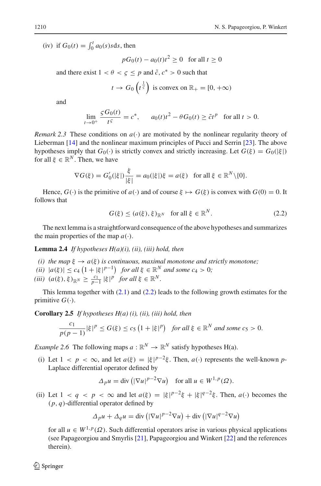(iv) if  $G_0(t) = \int_0^t a_0(s)s \, ds$ , then

$$
pG_0(t) - a_0(t)t^2 \ge 0 \quad \text{for all } t \ge 0
$$

and there exist  $1 < \theta < \zeta \leq p$  and  $\tilde{c}$ ,  $c^* > 0$  such that

$$
t \to G_0\left(t^{\frac{1}{5}}\right)
$$
 is convex on  $\mathbb{R}_+ = [0, +\infty)$ 

and

$$
\lim_{t \to 0^+} \frac{\varsigma G_0(t)}{t^{\varsigma}} = c^*, \qquad a_0(t)t^2 - \theta G_0(t) \ge \tilde{c}t^p \quad \text{for all } t > 0.
$$

*Remark* 2.3 These conditions on  $a(\cdot)$  are motivated by the nonlinear regularity theory of Lieberman [\[14](#page-28-10)] and the nonlinear maximum principles of Pucci and Serrin [\[23\]](#page-28-11). The above hypotheses imply that  $G_0(\cdot)$  is strictly convex and strictly increasing. Let  $G(\xi) = G_0(|\xi|)$ for all  $\xi \in \mathbb{R}^N$ . Then, we have

$$
\nabla G(\xi) = G_0'(|\xi|) \frac{\xi}{|\xi|} = a_0(|\xi|) \xi = a(\xi) \text{ for all } \xi \in \mathbb{R}^N \setminus \{0\}.
$$

Hence,  $G(\cdot)$  is the primitive of  $a(\cdot)$  and of course  $\xi \mapsto G(\xi)$  is convex with  $G(0) = 0$ . It follows that

<span id="page-3-1"></span><span id="page-3-0"></span>
$$
G(\xi) \le (a(\xi), \xi)_{\mathbb{R}^N} \quad \text{for all } \xi \in \mathbb{R}^N. \tag{2.2}
$$

The next lemma is a straightforward consequence of the above hypotheses and summarizes the main properties of the map  $a(\cdot)$ .

**Lemma 2.4** *If hypotheses H(a)(i), (ii), (iii) hold, then*

- *(i) the map*  $\xi \to a(\xi)$  *is continuous, maximal monotone and strictly monotone;*
- $f(i)$   $|a(\xi)| \le c_4 \left(1 + |\xi|^{p-1}\right)$  *for all*  $\xi \in \mathbb{R}^N$  *and some*  $c_4 > 0$ *;*

 $(iii)$   $(a(\xi), \xi)_{\mathbb{R}^N} \ge \frac{c_1}{p-1} |\xi|^p$  *for all*  $\xi \in \mathbb{R}^N$ *.* 

<span id="page-3-2"></span>This lemma together with  $(2.1)$  and  $(2.2)$  leads to the following growth estimates for the primitive  $G(\cdot)$ .

**Corollary 2.5** *If hypotheses H(a) (i), (ii), (iii) hold, then*

$$
\frac{c_1}{p(p-1)}|\xi|^p \le G(\xi) \le c_5 \left(1+|\xi|^p\right) \text{ for all } \xi \in \mathbb{R}^N \text{ and some } c_5 > 0.
$$

*Example 2.6* The following maps  $a : \mathbb{R}^N \to \mathbb{R}^N$  satisfy hypotheses H(a).

(i) Let  $1 < p < \infty$ , and let  $a(\xi) = |\xi|^{p-2}\xi$ . Then,  $a(\cdot)$  represents the well-known *p*-Laplace differential operator defined by

$$
\Delta_p u = \text{div}\left(|\nabla u|^{p-2} \nabla u\right) \quad \text{for all } u \in W^{1,p}(\Omega).
$$

(ii) Let  $1 < q < p < \infty$  and let  $a(\xi) = |\xi|^{p-2}\xi + |\xi|^{q-2}\xi$ . Then,  $a(\cdot)$  becomes the (*p*, *q*)-differential operator defined by

$$
\Delta_p u + \Delta_q u = \text{div}\left(|\nabla u|^{p-2} \nabla u\right) + \text{div}\left(|\nabla u|^{q-2} \nabla u\right)
$$

for all  $u \in W^{1,p}(\Omega)$ . Such differential operators arise in various physical applications (see Papageorgiou and Smyrlis [\[21](#page-28-12)], Papageorgiou and Winkert [\[22\]](#page-28-13) and the references therein).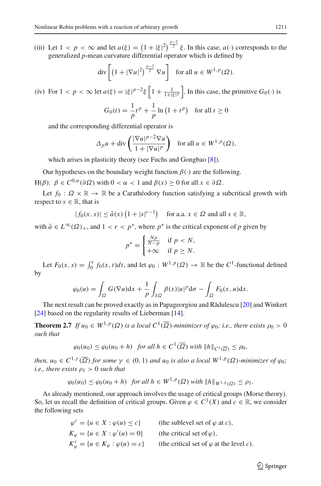(iii) Let  $1 < p < \infty$  and let  $a(\xi) = (1 + |\xi|^2)^{\frac{p-2}{2}} \xi$ . In this case,  $a(\cdot)$  corresponds to the generalized *p*-mean curvature differential operator which is defined by

$$
\operatorname{div}\left[\left(1+|\nabla u|^2\right)^{\frac{p-2}{2}}\nabla u\right] \quad \text{for all } u \in W^{1,p}(\Omega).
$$

(iv) For  $1 < p < \infty$  let  $a(\xi) = |\xi|^{p-2}\xi \left[1 + \frac{1}{1+|\xi|^p}\right]$ . In this case, the primitive  $G_0(\cdot)$  is  $G_0(t) = \frac{1}{p}t^p + \frac{1}{p}$  $\frac{1}{p} \ln (1 + t^p)$  for all  $t \ge 0$ 

and the corresponding differential operator is

$$
\Delta_p u + \operatorname{div}\left(\frac{|\nabla u|^{p-2}\nabla u}{1 + |\nabla u|^p}\right) \quad \text{for all } u \in W^{1,p}(\Omega),
$$

which arises in plasticity theory (see Fuchs and Gongbao [\[8](#page-28-14)]).

Our hypotheses on the boundary weight function  $\beta(\cdot)$  are the following. H( $\beta$ ):  $\beta \in C^{0,\alpha}(\partial \Omega)$  with  $0 < \alpha < 1$  and  $\beta(x) \ge 0$  for all  $x \in \partial \Omega$ .

Let  $f_0: \Omega \times \mathbb{R} \to \mathbb{R}$  be a Carathéodory function satisfying a subcritical growth with respect to  $s \in \mathbb{R}$ , that is

$$
|f_0(x, s)| \le \tilde{a}(x) \left(1 + |s|^{r-1}\right) \quad \text{for a.a. } x \in \Omega \text{ and all } s \in \mathbb{R},
$$

with  $\tilde{a} \in L^{\infty}(\Omega)_{+}$ , and  $1 < r < p^*$ , where  $p^*$  is the critical exponent of p given by

$$
p^* = \begin{cases} \frac{Np}{N-p} & \text{if } p < N, \\ +\infty & \text{if } p \ge N. \end{cases}
$$

Let  $F_0(x, s) = \int_0^s f_0(x, t)dt$ , and let  $\varphi_0 : W^{1, p}(\Omega) \to \mathbb{R}$  be the  $C^1$ -functional defined by

$$
\varphi_0(u) = \int_{\Omega} G(\nabla u) dx + \frac{1}{p} \int_{\partial \Omega} \beta(x) |u|^p d\sigma - \int_{\Omega} F_0(x, u) dx.
$$

The next result can be proved exactly as in Papageorgiou and R $\ddot{\text{add}}$ ulescu [\[20\]](#page-28-7) and Winkert [\[24\]](#page-28-15) based on the regularity results of Lieberman [\[14](#page-28-10)].

<span id="page-4-0"></span>**Theorem 2.7** *If*  $u_0 \in W^{1,p}(\Omega)$  *is a local*  $C^1(\overline{\Omega})$ *-minimizer of*  $\varphi_0$ *; i.e., there exists*  $\rho_0 > 0$ *such that*

$$
\varphi_0(u_0) \le \varphi_0(u_0 + h) \quad \text{for all } h \in C^1(\overline{\Omega}) \text{ with } ||h||_{C^1(\overline{\Omega})} \le \rho_0,
$$

*then,*  $u_0 \in C^{1,\gamma}(\overline{\Omega})$  *for some*  $\gamma \in (0,1)$  *and*  $u_0$  *is also a local*  $W^{1,p}(\Omega)$ *-minimizer of*  $\varphi_0$ *; i.e., there exists*  $\rho_1 > 0$  *such that* 

$$
\varphi_0(u_0) \leq \varphi_0(u_0 + h) \quad \text{for all } h \in W^{1,p}(\Omega) \text{ with } ||h||_{W^{1,p}(\Omega)} \leq \rho_1.
$$

As already mentioned, our approach involves the usage of critical groups (Morse theory). So, let us recall the definition of critical groups. Given  $\varphi \in C^1(X)$  and  $c \in \mathbb{R}$ , we consider the following sets

| $\varphi^{c} = \{u \in X : \varphi(u) \leq c\}$            | (the sublevel set of $\varphi$ at c).           |
|------------------------------------------------------------|-------------------------------------------------|
| $K_{\varphi} = \{u \in X : \varphi'(u) = 0\}$              | (the critical set of $\varphi$ ),               |
| $K_{\varphi}^{c} = \{u \in K_{\varphi} : \varphi(u) = c\}$ | (the critical set of $\varphi$ at the level c). |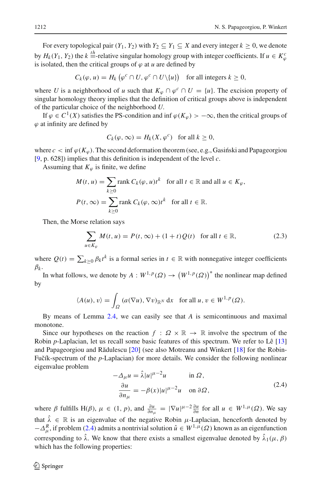For every topological pair  $(Y_1, Y_2)$  with  $Y_2 \subseteq Y_1 \subseteq X$  and every integer  $k \ge 0$ , we denote by  $H_k(Y_1, Y_2)$  the  $k =$ -relative singular homology group with integer coefficients. If  $u \in K^c_\varphi$ is isolated, then the critical groups of  $\varphi$  at *u* are defined by

$$
C_k(\varphi, u) = H_k\left(\varphi^c \cap U, \varphi^c \cap U\backslash\{u\}\right) \text{ for all integers } k \ge 0,
$$

where *U* is a neighborhood of *u* such that  $K_{\varphi} \cap \varphi^{c} \cap U = \{u\}$ . The excision property of singular homology theory implies that the definition of critical groups above is independent of the particular choice of the neighborhood *U*.

If  $\varphi \in C^1(X)$  satisfies the PS-condition and inf  $\varphi(K_{\varphi}) > -\infty$ , then the critical groups of  $\varphi$  at infinity are defined by

$$
C_k(\varphi,\infty) = H_k(X,\varphi^c) \text{ for all } k \ge 0,
$$

where  $c < \inf \varphi(K_{\varphi})$ . The second deformation theorem (see, e.g., Gasinski and Papageorgiou [\[9](#page-28-16), p. 628]) implies that this definition is independent of the level *c*.

Assuming that  $K_{\varphi}$  is finite, we define

$$
M(t, u) = \sum_{k \ge 0} \text{rank } C_k(\varphi, u)t^k \quad \text{for all } t \in \mathbb{R} \text{ and all } u \in K_{\varphi},
$$
  

$$
P(t, \infty) = \sum_{k \ge 0} \text{rank } C_k(\varphi, \infty)t^k \quad \text{for all } t \in \mathbb{R}.
$$

Then, the Morse relation says

<span id="page-5-1"></span>
$$
\sum_{u \in K_{\varphi}} M(t, u) = P(t, \infty) + (1 + t)Q(t) \quad \text{for all } t \in \mathbb{R},\tag{2.3}
$$

where  $Q(t) = \sum_{k \ge 0} \beta_k t^k$  is a formal series in  $t \in \mathbb{R}$  with nonnegative integer coefficients  $\beta_k$ .

In what follows, we denote by  $A: W^{1,p}(\Omega) \to (W^{1,p}(\Omega))^*$  the nonlinear map defined by

$$
\langle A(u), v \rangle = \int_{\Omega} \left( a(\nabla u), \nabla v \right)_{\mathbb{R}^N} dx \quad \text{for all } u, v \in W^{1, p}(\Omega).
$$

By means of Lemma [2.4,](#page-3-1) we can easily see that *A* is semicontinuous and maximal monotone.

Since our hypotheses on the reaction  $f : \Omega \times \mathbb{R} \to \mathbb{R}$  involve the spectrum of the Robin *p*-Laplacian, let us recall some basic features of this spectrum. We refer to Lê [\[13\]](#page-28-6) and Papageorgiou and Rădulescu [\[20](#page-28-7)] (see also Motreanu and Winkert [\[18\]](#page-28-17) for the Robin-Fučík-spectrum of the *p*-Laplacian) for more details. We consider the following nonlinear eigenvalue problem

$$
-\Delta_{\mu}u = \hat{\lambda}|u|^{\mu-2}u \quad \text{in } \Omega,
$$
  

$$
\frac{\partial u}{\partial n_{\mu}} = -\beta(x)|u|^{\mu-2}u \quad \text{on } \partial\Omega,
$$
 (2.4)

<span id="page-5-0"></span>where  $\beta$  fulfills H( $\beta$ ),  $\mu \in (1, p)$ , and  $\frac{\partial u}{\partial n_{\mu}} = |\nabla u|^{ \mu - 2} \frac{\partial u}{\partial n}$  for all  $u \in W^{1, \mu}(\Omega)$ . We say that  $\hat{\lambda} \in \mathbb{R}$  is an eigenvalue of the negative Robin  $\mu$ -Laplacian, henceforth denoted by  $-\Delta_{\mu}^{R}$ , if problem [\(2.4\)](#page-5-0) admits a nontrivial solution  $\hat{u} \in W^{1,\mu}(\Omega)$  known as an eigenfunction corresponding to  $\hat{\lambda}$ . We know that there exists a smallest eigenvalue denoted by  $\hat{\lambda}_1(\mu, \beta)$ which has the following properties: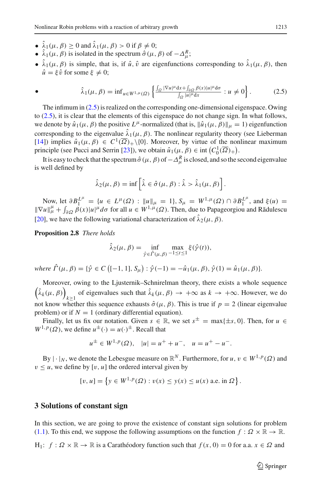- $\hat{\lambda}_1(\mu, \beta) > 0$  and  $\hat{\lambda}_1(\mu, \beta) > 0$  if  $\beta \neq 0$ ;
- $\hat{\lambda}_1(\mu, \beta)$  is isolated in the spectrum  $\hat{\sigma}(\mu, \beta)$  of  $-\Delta_{\mu}^R$ ;
- $\hat{\lambda}_1(\mu, \beta)$  is simple, that is, if  $\hat{\mu}$ ,  $\hat{\nu}$  are eigenfunctions corresponding to  $\hat{\lambda}_1(\mu, \beta)$ , then  $\hat{u} = \hat{\varepsilon} \hat{v}$  for some  $\hat{\varepsilon} \neq 0$ ;

<span id="page-6-0"></span>• 
$$
\hat{\lambda}_1(\mu,\beta) = \inf_{u \in W^{1,\mu}(\Omega)} \left\{ \frac{\int_{\Omega} |\nabla u|^{\mu} dx + \int_{\partial \Omega} \beta(x)|u|^{\mu} d\sigma}{\int_{\Omega} |u|^{\mu} dx} : u \neq 0 \right\}.
$$
 (2.5)

The infimum in [\(2.5\)](#page-6-0) is realized on the corresponding one-dimensional eigenspace. Owing to [\(2.5\)](#page-6-0), it is clear that the elements of this eigenspace do not change sign. In what follows, we denote by  $\hat{u}_1(\mu, \beta)$  the positive  $L^{\mu}$ -normalized (that is,  $\|\hat{u}_1(\mu, \beta)\|_{\mu} = 1$ ) eigenfunction corresponding to the eigenvalue  $\hat{\lambda}_1(\mu, \beta)$ . The nonlinear regularity theory (see Lieberman [\[14\]](#page-28-10)) implies  $\hat{u}_1(\mu, \beta) \in C^1(\overline{\Omega})_+\setminus\{0\}$ . Moreover, by virtue of the nonlinear maximum principle (see Pucci and Serrin [\[23](#page-28-11)]), we obtain  $\hat{u}_1(\mu, \beta) \in \text{int}(C_0^1(\overline{\Omega})_+)$ .

It is easy to check that the spectrum  $\hat{\sigma}(\mu, \beta)$  of  $-\Delta_{\mu}^{R}$  is closed, and so the second eigenvalue is well defined by

$$
\hat{\lambda}_2(\mu,\beta) = \inf \left[ \hat{\lambda} \in \hat{\sigma}(\mu,\beta) : \hat{\lambda} > \hat{\lambda}_1(\mu,\beta) \right].
$$

Now, let  $\partial B_1^{L^{\mu}} = \{u \in L^{\mu}(\Omega) : ||u||_{\mu} = 1\}$ ,  $S_{\mu} = W^{1,\mu}(\Omega) \cap \partial B_1^{L^{\mu}}$ , and  $ξ(u) =$  $\|\nabla u\|_{\mu}^{\mu} + \int_{\partial \Omega} \beta(x)|u|^{\mu} d\sigma$  for all  $u \in W^{1,\mu}(\Omega)$ . Then, due to Papageorgiou and Rădulescu [\[20\]](#page-28-7), we have the following variational characterization of  $\hat{\lambda}_2(\mu, \beta)$ .

**Proposition 2.8** *There holds*

<span id="page-6-1"></span>
$$
\hat{\lambda}_2(\mu, \beta) = \inf_{\hat{\gamma} \in \hat{\Gamma}(\mu, \beta)} \max_{-1 \le t \le 1} \xi(\hat{\gamma}(t)),
$$

 $where \ \hat{\Gamma}(\mu, \beta) = \{ \hat{\gamma} \in C \big( [-1, 1], S_{\mu} \big) : \hat{\gamma}(-1) = -\hat{u}_1(\mu, \beta), \hat{\gamma}(1) = \hat{u}_1(\mu, \beta) \}.$ 

Moreover, owing to the Ljusternik–Schnirelman theory, there exists a whole sequence  $\left(\hat{\lambda}_k(\mu, \beta)\right)_{k \geq 1}$  of eigenvalues such that  $\hat{\lambda}_k(\mu, \beta) \to +\infty$  as  $k \to +\infty$ . However, we do not know whether this sequence exhausts  $\hat{\sigma}(\mu, \beta)$ . This is true if  $p = 2$  (linear eigenvalue problem) or if  $N = 1$  (ordinary differential equation).

Finally, let us fix our notation. Given  $s \in \mathbb{R}$ , we set  $s^{\pm} = \max\{\pm s, 0\}$ . Then, for  $u \in$  $W^{1,p}(\Omega)$ , we define  $u^{\pm}(\cdot) = u(\cdot)^{\pm}$ . Recall that

$$
u^{\pm} \in W^{1,p}(\Omega), \quad |u| = u^{+} + u^{-}, \quad u = u^{+} - u^{-}.
$$

By  $|\cdot|_N$ , we denote the Lebesgue measure on  $\mathbb{R}^N$ . Furthermore, for *u*,  $v \in W^{1,p}(\Omega)$  and  $v \leq u$ , we define by [v, u] the ordered interval given by

$$
[v, u] = \left\{ y \in W^{1, p}(\Omega) : v(x) \le y(x) \le u(x) \text{ a.e. in } \Omega \right\}.
$$

#### <span id="page-6-2"></span>**3 Solutions of constant sign**

In this section, we are going to prove the existence of constant sign solutions for problem [\(1.1\)](#page-0-0). To this end, we suppose the following assumptions on the function  $f : \Omega \times \mathbb{R} \to \mathbb{R}$ .

H<sub>1</sub>:  $f : \Omega \times \mathbb{R} \to \mathbb{R}$  is a Carathéodory function such that  $f(x, 0) = 0$  for a.a.  $x \in \Omega$  and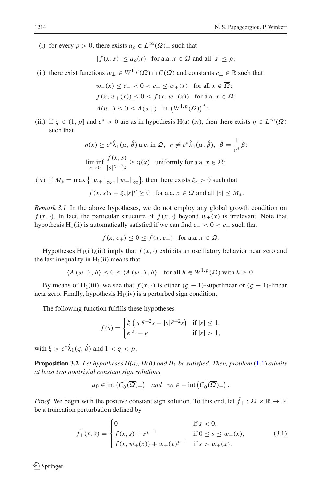(i) for every  $\rho > 0$ , there exists  $a_0 \in L^{\infty}(\Omega)$  such that

$$
|f(x, s)| \le a_{\rho}(x) \quad \text{for a.a. } x \in \Omega \text{ and all } |s| \le \rho;
$$

(ii) there exist functions  $w_+ \in W^{1,p}(\Omega) \cap C(\overline{\Omega})$  and constants  $c_+ \in \mathbb{R}$  such that

$$
w_{-}(x) \le c_{-} < 0 < c_{+} \le w_{+}(x) \text{ for all } x \in \Omega;
$$
  

$$
f(x, w_{+}(x)) \le 0 \le f(x, w_{-}(x)) \text{ for a.a. } x \in \Omega;
$$
  

$$
A(w_{-}) \le 0 \le A(w_{+}) \text{ in } (W^{1, p}(\Omega))^{*};
$$

(iii) if  $\zeta \in (1, p]$  and  $c^* > 0$  are as in hypothesis H(a) (iv), then there exists  $\eta \in L^{\infty}(\Omega)$ such that

$$
\eta(x) \ge c^* \hat{\lambda}_1(\mu, \hat{\beta}) \text{ a.e. in } \Omega, \ \eta \ne c^* \hat{\lambda}_1(\mu, \hat{\beta}), \ \hat{\beta} = \frac{1}{c^*} \beta;
$$
  
 
$$
\liminf_{s \to 0} \frac{f(x, s)}{|s|^{s-2} s} \ge \eta(x) \text{ uniformly for a.a. } x \in \Omega;
$$

(iv) if  $M_* = \max \{ ||w_+||_{\infty}, ||w_-||_{\infty} \}$ , then there exists  $\xi_* > 0$  such that

$$
f(x, s)s + \xi_*|s|^p \ge 0 \quad \text{for a.a. } x \in \Omega \text{ and all } |s| \le M_*.
$$

*Remark 3.1* In the above hypotheses, we do not employ any global growth condition on  $f(x, \cdot)$ . In fact, the particular structure of  $f(x, \cdot)$  beyond  $w_{\pm}(x)$  is irrelevant. Note that hypothesis H<sub>1</sub>(ii) is automatically satisfied if we can find  $c- < 0 < c_+$  such that

$$
f(x, c_{+}) \leq 0 \leq f(x, c_{-}) \quad \text{for a.a. } x \in \Omega.
$$

Hypotheses  $H_1(ii)$ ,(iii) imply that  $f(x, \cdot)$  exhibits an oscillatory behavior near zero and the last inequality in  $H_1(ii)$  means that

$$
\langle A(w_-), h \rangle \le 0 \le \langle A(w_+), h \rangle \quad \text{for all } h \in W^{1,p}(\Omega) \text{ with } h \ge 0.
$$

By means of H<sub>1</sub>(iii), we see that  $f(x, \cdot)$  is either  $(c - 1)$ -superlinear or  $(c - 1)$ -linear near zero. Finally, hypothesis  $H_1(iv)$  is a perturbed sign condition.

The following function fulfills these hypotheses

$$
f(s) = \begin{cases} \xi \left( |s|^{q-2} s - |s|^{p-2} s \right) & \text{if } |s| \le 1, \\ e^{|s|} - e & \text{if } |s| > 1, \end{cases}
$$

<span id="page-7-1"></span>with  $\xi > c^* \hat{\lambda}_1(\varsigma, \hat{\beta})$  and  $1 < a < p$ .

**Proposition 3.2** *Let hypotheses H(a), H(* $\beta$ *) and H<sub>1</sub> be satisfied. Then, problem* [\(1.1\)](#page-0-0) *admits at least two nontrivial constant sign solutions*

<span id="page-7-0"></span>
$$
u_0 \in \text{int}\left(C_0^1(\overline{\Omega})_+\right) \quad \text{and} \quad v_0 \in -\text{int}\left(C_0^1(\overline{\Omega})_+\right).
$$

*Proof* We begin with the positive constant sign solution. To this end, let  $\hat{f}_+ : \Omega \times \mathbb{R} \to \mathbb{R}$ be a truncation perturbation defined by

$$
\hat{f}_{+}(x,s) = \begin{cases}\n0 & \text{if } s < 0, \\
f(x,s) + s^{p-1} & \text{if } 0 \le s \le w_{+}(x), \\
f(x, w_{+}(x)) + w_{+}(x)^{p-1} & \text{if } s > w_{+}(x),\n\end{cases}
$$
\n(3.1)

 $\circledcirc$  Springer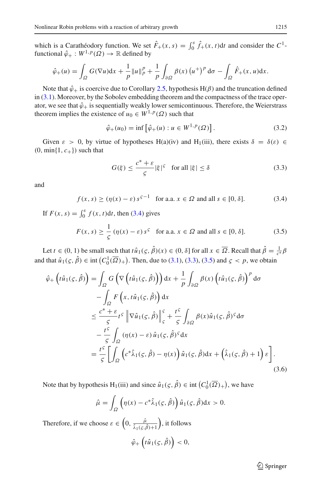which is a Carathéodory function. We set  $\hat{F}_+(x, s) = \int_0^s \hat{f}_+(x, t) dt$  and consider the  $C^1$ functional  $\hat{\varphi}_+ : W^{1,p}(\Omega) \to \mathbb{R}$  defined by

$$
\hat{\varphi}_+(u) = \int_{\Omega} G(\nabla u) dx + \frac{1}{p} ||u||_p^p + \frac{1}{p} \int_{\partial \Omega} \beta(x) (u^+)^p d\sigma - \int_{\Omega} \hat{F}_+(x, u) dx.
$$

Note that  $\hat{\varphi}_+$  is coercive due to Corollary [2.5,](#page-3-2) hypothesis H( $\beta$ ) and the truncation defined in  $(3.1)$ . Moreover, by the Sobolev embedding theorem and the compactness of the trace operator, we see that  $\hat{\varphi}_+$  is sequentially weakly lower semicontinuous. Therefore, the Weierstrass theorem implies the existence of  $u_0 \in W^{1,p}(\Omega)$  such that

<span id="page-8-3"></span>
$$
\hat{\varphi}_{+}(u_0) = \inf \left[ \hat{\varphi}_{+}(u) : u \in W^{1,p}(\Omega) \right]. \tag{3.2}
$$

Given  $\varepsilon > 0$ , by virtue of hypotheses H(a)(iv) and H<sub>1</sub>(iii), there exists  $\delta = \delta(\varepsilon) \in$  $(0, \min\{1, c_+\})$  such that

<span id="page-8-2"></span><span id="page-8-1"></span><span id="page-8-0"></span>
$$
G(\xi) \le \frac{c^* + \varepsilon}{\varsigma} |\xi|^{\varsigma} \quad \text{for all } |\xi| \le \delta \tag{3.3}
$$

and

$$
f(x, s) \ge (\eta(x) - \varepsilon) s^{\varepsilon - 1} \quad \text{for a.a. } x \in \Omega \text{ and all } s \in [0, \delta]. \tag{3.4}
$$

If  $F(x, s) = \int_0^s f(x, t) dt$ , then [\(3.4\)](#page-8-0) gives

$$
F(x, s) \ge \frac{1}{\varsigma} \left( \eta(x) - \varepsilon \right) s^{\varsigma} \quad \text{for a.a. } x \in \Omega \text{ and all } s \in [0, \delta]. \tag{3.5}
$$

Let *t*  $\in (0, 1)$  be small such that  $t\hat{u}_1(\varsigma, \hat{\beta})(x) \in (0, \delta]$  for all  $x \in \overline{\Omega}$ . Recall that  $\hat{\beta} = \frac{1}{c^*} \beta$ and that  $\hat{u}_1(\zeta, \hat{\beta}) \in \text{int}(C_0^1(\overline{\Omega})_+)$ . Then, due to [\(3.1\)](#page-7-0), [\(3.3\)](#page-8-1), [\(3.5\)](#page-8-2) and  $\zeta < p$ , we obtain

$$
\hat{\varphi}_{+}\left(t\hat{u}_{1}(\varsigma,\hat{\beta})\right) = \int_{\Omega} G\left(\nabla\left(t\hat{u}_{1}(\varsigma,\hat{\beta})\right)\right) dx + \frac{1}{p} \int_{\partial\Omega} \beta(x)\left(t\hat{u}_{1}(\varsigma,\hat{\beta})\right)^{p} d\sigma \n- \int_{\Omega} F\left(x,t\hat{u}_{1}(\varsigma,\hat{\beta})\right) dx \n\leq \frac{c^{*}+\varepsilon}{\varsigma} t^{\varsigma} \left\|\nabla\hat{u}_{1}(\varsigma,\hat{\beta})\right\|_{\varsigma}^{\varsigma} + \frac{t^{\varsigma}}{\varsigma} \int_{\partial\Omega} \beta(x)\hat{u}_{1}(\varsigma,\hat{\beta})^{s} d\sigma \n- \frac{t^{\varsigma}}{\varsigma} \int_{\Omega} (\eta(x)-\varepsilon)\hat{u}_{1}(\varsigma,\hat{\beta})^{s} dx \n= \frac{t^{\varsigma}}{\varsigma} \left[\int_{\Omega} \left(c^{*}\hat{\lambda}_{1}(\varsigma,\hat{\beta}) - \eta(x)\right)\hat{u}_{1}(\varsigma,\hat{\beta}) dx + \left(\hat{\lambda}_{1}(\varsigma,\hat{\beta}) + 1\right)\varepsilon\right].
$$
\n(3.6)

Note that by hypothesis H<sub>1</sub>(iii) and since  $\hat{u}_1(\zeta, \hat{\beta}) \in \text{int}(C_0^1(\overline{\Omega})_+)$ , we have

$$
\hat{\mu} = \int_{\Omega} \left( \eta(x) - c^* \hat{\lambda}_1(\varsigma, \hat{\beta}) \right) \hat{u}_1(\varsigma, \hat{\beta}) dx > 0.
$$

Therefore, if we choose  $\varepsilon \in \left(0, \frac{\hat{\mu}}{\hat{\lambda}_1(\varsigma, \hat{\beta})+1}\right)$  , it follows

$$
\hat{\varphi}_+\left(t\hat{u}_1(\varsigma,\hat{\beta})\right)<0,
$$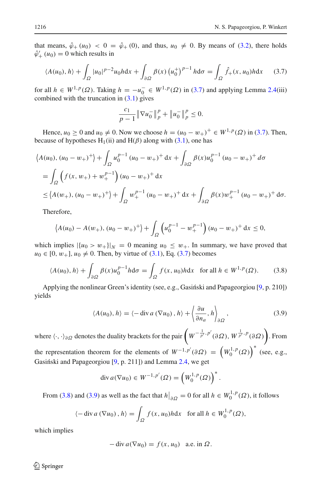that means,  $\hat{\varphi}_+(u_0) < 0 = \hat{\varphi}_+(0)$ , and thus,  $u_0 \neq 0$ . By means of [\(3.2\)](#page-8-3), there holds  $\hat{\varphi}'_+(u_0) = 0$  which results in

$$
\langle A(u_0), h \rangle + \int_{\Omega} |u_0|^{p-2} u_0 h \, \mathrm{d}x + \int_{\partial \Omega} \beta(x) \left( u_0^+ \right)^{p-1} h \, \mathrm{d}\sigma = \int_{\Omega} \hat{f}_+(x, u_0) h \, \mathrm{d}x \tag{3.7}
$$

for all  $h \in W^{1,p}(\Omega)$ . Taking  $h = -u_0^- \in W^{1,p}(\Omega)$  in [\(3.7\)](#page-9-0) and applying Lemma [2.4\(](#page-3-1)iii) combined with the truncation in  $(3.1)$  gives

<span id="page-9-0"></span>
$$
\frac{c_1}{p-1} \|\nabla u_0^-\|_p^p + \|u_0^-\|_p^p \le 0.
$$

Hence, *u*<sub>0</sub> ≥ 0 and *u*<sub>0</sub> ≠ 0. Now we choose *h* =  $(u_0 - w_+)$ <sup>+</sup> ∈ *W*<sup>1,*p*</sup>( $\Omega$ ) in [\(3.7\)](#page-9-0). Then, because of hypotheses  $H_1(ii)$  and  $H(\beta)$  along with [\(3.1\)](#page-7-0), one has

$$
\langle A(u_0), (u_0 - w_+) ^+ \rangle + \int_{\Omega} u_0^{p-1} (u_0 - w_+) ^+ \, dx + \int_{\partial \Omega} \beta(x) u_0^{p-1} (u_0 - w_+) ^+ \, d\sigma
$$
  
= 
$$
\int_{\Omega} \left( f(x, w_+) + w_+^{p-1} \right) (u_0 - w_+) ^+ \, dx
$$
  

$$
\leq \langle A(w_+), (u_0 - w_+) ^+ \rangle + \int_{\Omega} w_+^{p-1} (u_0 - w_+) ^+ \, dx + \int_{\partial \Omega} \beta(x) w_+^{p-1} (u_0 - w_+) ^+ \, d\sigma.
$$

Therefore,

$$
\left\langle A(u_0) - A(w_+), (u_0 - w_+)^\dagger \right\rangle + \int_{\Omega} \left( u_0^{p-1} - w_+^{p-1} \right) (u_0 - w_+)^\dagger dx \le 0,
$$

which implies  $|\{u_0 > w_+\}|_N = 0$  meaning  $u_0 \leq w_+$ . In summary, we have proved that  $u_0 \in [0, w_+]$ ,  $u_0 \neq 0$ . Then, by virtue of [\(3.1\)](#page-7-0), Eq. [\(3.7\)](#page-9-0) becomes

$$
\langle A(u_0), h \rangle + \int_{\partial \Omega} \beta(x) u_0^{p-1} h \mathrm{d}\sigma = \int_{\Omega} f(x, u_0) h \mathrm{d}x \quad \text{for all } h \in W^{1, p}(\Omega). \tag{3.8}
$$

Applying the nonlinear Green's identity (see, e.g., Gasiński and Papageorgiou  $[9, p. 210]$  $[9, p. 210]$ ) yields

<span id="page-9-2"></span><span id="page-9-1"></span>
$$
\langle A(u_0), h \rangle = \langle -\operatorname{div} a(\nabla u_0), h \rangle + \left\langle \frac{\partial u}{\partial n_a}, h \right\rangle_{\partial \Omega}, \tag{3.9}
$$

where  $\langle \cdot, \cdot \rangle_{\partial \Omega}$  denotes the duality brackets for the pair  $\left( W^{-\frac{1}{p'}, p'}(\partial \Omega), W^{\frac{1}{p'}, p}(\partial \Omega) \right)$ . From the representation theorem for the elements of  $W^{-1,p'}(\partial \Omega) = (W_0^{1,p}(\Omega))^{*}$  (see, e.g., Gasiński and Papageorgiou [\[9,](#page-28-16) p. 211]) and Lemma [2.4,](#page-3-1) we get

$$
\operatorname{div} a(\nabla u_0) \in W^{-1,p'}(\Omega) = \left(W_0^{1,p}(\Omega)\right)^*.
$$

From [\(3.8\)](#page-9-1) and [\(3.9\)](#page-9-2) as well as the fact that  $h|_{\partial\Omega} = 0$  for all  $h \in W_0^{1,p}(\Omega)$ , it follows

$$
\langle -\operatorname{div} a(\nabla u_0), h \rangle = \int_{\Omega} f(x, u_0) h \mathrm{d}x \quad \text{for all } h \in W_0^{1, p}(\Omega),
$$

which implies

$$
-\operatorname{div} a(\nabla u_0) = f(x, u_0) \quad \text{a.e. in } \Omega.
$$

 $\circledcirc$  Springer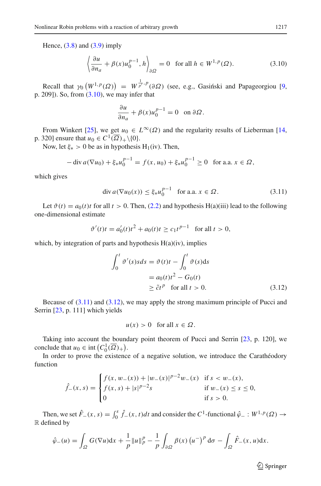Hence,  $(3.8)$  and  $(3.9)$  imply

$$
\left\langle \frac{\partial u}{\partial n_a} + \beta(x) u_0^{p-1}, h \right\rangle_{\partial \Omega} = 0 \quad \text{for all } h \in W^{1,p}(\Omega). \tag{3.10}
$$

Recall that  $\gamma_0 (W^{1,p}(\Omega)) = W^{\frac{1}{p'},p}(\partial \Omega)$  (see, e.g., Gasinski and Papageorgiou [\[9,](#page-28-16) p. 209]). So, from  $(3.10)$ , we may infer that

<span id="page-10-0"></span>
$$
\frac{\partial u}{\partial n_a} + \beta(x)u_0^{p-1} = 0 \text{ on } \partial\Omega.
$$

From Winkert [\[25\]](#page-28-18), we get  $u_0 \in L^{\infty}(\Omega)$  and the regularity results of Lieberman [\[14,](#page-28-10) p. 320] ensure that  $u_0 \in C^1(\overline{\Omega})_+\setminus\{0\}.$ 

Now, let  $\xi_* > 0$  be as in hypothesis H<sub>1</sub>(iv). Then,

$$
-\operatorname{div} a(\nabla u_0) + \xi_* u_0^{p-1} = f(x, u_0) + \xi_* u_0^{p-1} \ge 0 \text{ for a.a. } x \in \Omega,
$$

which gives

<span id="page-10-1"></span>
$$
\text{div}\, a(\nabla u_0(x)) \le \xi_* u_0^{p-1} \quad \text{for a.a. } x \in \Omega. \tag{3.11}
$$

Let  $\vartheta(t) = a_0(t)t$  for all  $t > 0$ . Then, [\(2.2\)](#page-3-0) and hypothesis H(a)(iii) lead to the following one-dimensional estimate

$$
\vartheta'(t)t = a_0'(t)t^2 + a_0(t)t \ge c_1 t^{p-1} \quad \text{for all } t > 0,
$$

which, by integration of parts and hypothesis  $H(a)(iv)$ , implies

$$
\int_0^t \vartheta'(s)sds = \vartheta(t)t - \int_0^t \vartheta(s)ds
$$
  
=  $a_0(t)t^2 - G_0(t)$   
 $\ge \tilde{c}t^p$  for all  $t > 0$ . (3.12)

Because of [\(3.11\)](#page-10-1) and [\(3.12\)](#page-10-2), we may apply the strong maximum principle of Pucci and Serrin [\[23](#page-28-11), p. 111] which yields

<span id="page-10-2"></span>
$$
u(x) > 0 \quad \text{for all } x \in \Omega.
$$

Taking into account the boundary point theorem of Pucci and Serrin [\[23,](#page-28-11) p. 120], we conclude that  $u_0 \in \text{int}\left(C_0^1(\overline{\Omega})_+\right)$ .

In order to prove the existence of a negative solution, we introduce the Carathéodory function

$$
\hat{f}_{-}(x,s) = \begin{cases} f(x, w_{-}(x)) + |w_{-}(x)|^{p-2}w_{-}(x) & \text{if } s < w_{-}(x), \\ f(x,s) + |s|^{p-2}s & \text{if } w_{-}(x) \le s \le 0, \\ 0 & \text{if } s > 0. \end{cases}
$$

Then, we set  $\hat{F}_-(x, s) = \int_0^s \hat{f}_-(x, t) dt$  and consider the  $C^1$ -functional  $\hat{\varphi}_- : W^{1,p}(\Omega) \to$ R defined by

$$
\hat{\varphi}_{-}(u) = \int_{\Omega} G(\nabla u) dx + \frac{1}{p} ||u||_{p}^{p} - \frac{1}{p} \int_{\partial \Omega} \beta(x) (u^{-})^{p} d\sigma - \int_{\Omega} \hat{F}_{-}(x, u) dx.
$$

 $\hat{\mathfrak{D}}$  Springer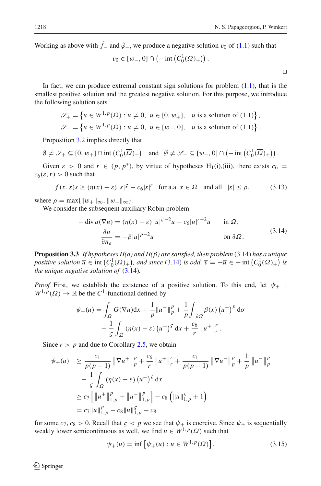Working as above with  $\hat{f}$ − and  $\hat{\varphi}$ −, we produce a negative solution  $v_0$  of [\(1.1\)](#page-0-0) such that

$$
v_0 \in [w_-, 0] \cap \left(-\operatorname{int}\left(C_0^1(\overline{\Omega})_+\right)\right).
$$

<span id="page-11-1"></span> $\Box$ 

In fact, we can produce extremal constant sign solutions for problem  $(1.1)$ , that is the smallest positive solution and the greatest negative solution. For this purpose, we introduce the following solution sets

$$
\mathcal{S}_+ = \left\{ u \in W^{1,p}(\Omega) : u \neq 0, \ u \in [0, w_+], \ u \text{ is a solution of (1.1)} \right\},
$$
  

$$
\mathcal{S}_- = \left\{ u \in W^{1,p}(\Omega) : u \neq 0, \ u \in [w_-, 0], \ u \text{ is a solution of (1.1)} \right\}.
$$

Proposition [3.2](#page-7-1) implies directly that

$$
\emptyset \neq \mathscr{S}_+ \subseteq [0, w_+] \cap \text{int}\left(C_0^1(\overline{\Omega})_+\right) \quad \text{and} \quad \emptyset \neq \mathscr{S}_- \subseteq [w_-, 0] \cap \left(-\text{int}\left(C_0^1(\overline{\Omega})_+\right)\right).
$$

Given  $\varepsilon > 0$  and  $r \in (p, p^*)$ , by virtue of hypotheses H<sub>1</sub>(i),(iii), there exists  $c_6 =$  $c_6(\varepsilon, r) > 0$  such that

$$
f(x, s)s \geq (\eta(x) - \varepsilon) |s|^{\varepsilon} - c_6 |s|^r \quad \text{for a.a. } x \in \Omega \quad \text{and all} \quad |s| \leq \rho,
$$
 (3.13)

where  $\rho = \max\{\|w_+\|_{\infty}, \|w_-\|_{\infty}\}.$ 

We consider the subsequent auxiliary Robin problem

$$
-\operatorname{div} a(\nabla u) = (\eta(x) - \varepsilon) |u|^{5-2}u - c_6|u|^{r-2}u \quad \text{in } \Omega,
$$
  

$$
\frac{\partial u}{\partial n_a} = -\beta |u|^{p-2}u \quad \text{on } \partial \Omega.
$$
 (3.14)

<span id="page-11-2"></span><span id="page-11-0"></span>**Proposition 3.3** *If hypotheses H(a) and H(*β*) are satisfied, then problem* [\(3.14\)](#page-11-0) *has a unique positive solution*  $\overline{u} \in \text{int}\left(C_0^1(\overline{\Omega})_+\right)$ *, and since* [\(3.14\)](#page-11-0) *is odd,*  $\overline{v} = -\overline{u} \in -\text{int}\left(C_0^1(\overline{\Omega})_+\right)$  *is the unique negative solution of* [\(3.14\)](#page-11-0)*.*

*Proof* First, we establish the existence of a positive solution. To this end, let  $\psi_+$ :  $W^{1,p}(\Omega) \to \mathbb{R}$  be the *C*<sup>1</sup>-functional defined by

$$
\psi_{+}(u) = \int_{\Omega} G(\nabla u) dx + \frac{1}{p} ||u^{-}||_{p}^{p} + \frac{1}{p} \int_{\partial \Omega} \beta(x) (u^{+})^{p} d\sigma
$$

$$
- \frac{1}{\varsigma} \int_{\Omega} (\eta(x) - \varepsilon) (u^{+})^{s} dx + \frac{c_{6}}{r} ||u^{+}||_{r}^{r}.
$$

Since  $r > p$  and due to Corollary [2.5,](#page-3-2) we obtain

$$
\psi_{+}(u) \geq \frac{c_{1}}{p(p-1)} \|\nabla u^{+}\|_{p}^{p} + \frac{c_{6}}{r} \|u^{+}\|_{r}^{r} + \frac{c_{1}}{p(p-1)} \|\nabla u^{-}\|_{p}^{p} + \frac{1}{p} \|u^{-}\|_{p}^{p}
$$

$$
-\frac{1}{5} \int_{\Omega} (\eta(x) - \varepsilon) (u^{+})^{5} dx
$$

$$
\geq c_{7} \Big[ \|u^{+}\|_{1,p}^{p} + \|u^{-}\|_{1,p}^{p} \Big] - c_{8} \Big( \|u\|_{1,p}^{5} + 1 \Big)
$$

$$
= c_{7} \|u\|_{1,p}^{p} - c_{8} \|u\|_{1,p}^{5} - c_{8}
$$

for some  $c_7$ ,  $c_8 > 0$ . Recall that  $\zeta < p$  we see that  $\psi_+$  is coercive. Since  $\psi_+$  is sequentially weakly lower semicontinuous as well, we find  $\overline{u} \in W^{1,p}(\Omega)$  such that

$$
\psi_+(\overline{u}) = \inf \left[ \psi_+(u) : u \in W^{1,p}(\Omega) \right]. \tag{3.15}
$$

 $\circledcirc$  Springer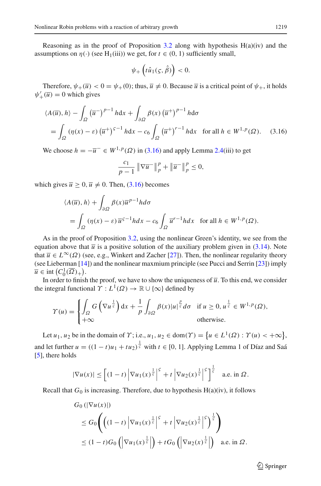Reasoning as in the proof of Proposition [3.2](#page-7-1) along with hypothesis  $H(a)(iv)$  and the assumptions on  $\eta(\cdot)$  (see H<sub>1</sub>(iii)) we get, for  $t \in (0, 1)$  sufficiently small,

$$
\psi_+\left(t\hat{u}_1(\varsigma,\hat{\beta})\right)<0.
$$

Therefore,  $\psi_+(\overline{u}) < 0 = \psi_+(0)$ ; thus,  $\overline{u} \neq 0$ . Because  $\overline{u}$  is a critical point of  $\psi_+$ , it holds  $\psi'_+(\overline{u}) = 0$  which gives

$$
\langle A(\overline{u}), h \rangle - \int_{\Omega} (\overline{u}^{-})^{p-1} h \, dx + \int_{\partial \Omega} \beta(x) (\overline{u}^{+})^{p-1} h \, d\sigma
$$
  
= 
$$
\int_{\Omega} (\eta(x) - \varepsilon) (\overline{u}^{+})^{p-1} h \, dx - c_6 \int_{\Omega} (\overline{u}^{+})^{p-1} h \, dx \quad \text{for all } h \in W^{1, p}(\Omega). \quad (3.16)
$$

We choose  $h = -\overline{u}^- \in W^{1,p}(\Omega)$  in [\(3.16\)](#page-12-0) and apply Lemma [2.4\(](#page-3-1)iii) to get

<span id="page-12-0"></span>
$$
\frac{c_1}{p-1} \left\| \nabla \overline{u}^{-} \right\|_p^p + \left\| \overline{u}^{-} \right\|_p^p \le 0,
$$

which gives  $\overline{u} \ge 0$ ,  $\overline{u} \ne 0$ . Then, [\(3.16\)](#page-12-0) becomes

$$
\langle A(\overline{u}), h \rangle + \int_{\partial \Omega} \beta(x) \overline{u}^{p-1} h d\sigma
$$
  
= 
$$
\int_{\Omega} (\eta(x) - \varepsilon) \overline{u}^{5-1} h dx - c_6 \int_{\Omega} \overline{u}^{r-1} h dx \text{ for all } h \in W^{1, p}(\Omega).
$$

As in the proof of Proposition [3.2,](#page-7-1) using the nonlinear Green's identity, we see from the equation above that  $\bar{u}$  is a positive solution of the auxiliary problem given in [\(3.14\)](#page-11-0). Note that  $\overline{u} \in L^{\infty}(\Omega)$  (see, e.g., Winkert and Zacher [\[27](#page-28-19)]). Then, the nonlinear regularity theory (see Lieberman [\[14\]](#page-28-10)) and the nonlinear maxmium principle (see Pucci and Serrin [\[23\]](#page-28-11)) imply  $\overline{u} \in \text{int}\left(C_0^1(\overline{\Omega})_+\right).$ 

In order to finish the proof, we have to show the uniqueness of  $\overline{u}$ . To this end, we consider the integral functional  $\Upsilon : L^1(\Omega) \to \mathbb{R} \cup {\infty}$  defined by

$$
\Upsilon(u) = \begin{cases} \int_{\Omega} G\left(\nabla u^{\frac{1}{s}}\right) dx + \frac{1}{p} \int_{\partial \Omega} \beta(x) |u|^{\frac{p}{s}} d\sigma & \text{if } u \ge 0, u^{\frac{1}{s}} \in W^{1,p}(\Omega), \\ +\infty & \text{otherwise.} \end{cases}
$$

Let *u*<sub>1</sub>, *u*<sub>2</sub> be in the domain of  $\Upsilon$ ; i.e., *u*<sub>1</sub>, *u*<sub>2</sub>  $\in$  dom( $\Upsilon$ ) = { $u \in L^1(\Omega)$  :  $\Upsilon(u) < +\infty$ }, and let further  $u = ((1 - t)u_1 + tu_2)^{\frac{1}{5}}$  with  $t \in [0, 1]$ . Applying Lemma 1 of Díaz and Saá [\[5](#page-28-20)], there holds

$$
|\nabla u(x)| \leq \left[ (1-t) \left| \nabla u_1(x)^{\frac{1}{5}} \right|^{5} + t \left| \nabla u_2(x)^{\frac{1}{5}} \right|^{5} \right]^{\frac{1}{5}} \quad \text{a.e. in } \Omega.
$$

Recall that  $G_0$  is increasing. Therefore, due to hypothesis  $H(a)(iv)$ , it follows

$$
G_0\left(\left|\nabla u(x)\right|\right)
$$
  
\n
$$
\leq G_0\left(\left((1-t)\left|\nabla u_1(x)^{\frac{1}{5}}\right|^5+t\left|\nabla u_2(x)^{\frac{1}{5}}\right|^5\right)^{\frac{1}{5}}\right)
$$
  
\n
$$
\leq (1-t)G_0\left(\left|\nabla u_1(x)^{\frac{1}{5}}\right|\right)+tG_0\left(\left|\nabla u_2(x)^{\frac{1}{5}}\right|\right) \text{ a.e. in } \Omega.
$$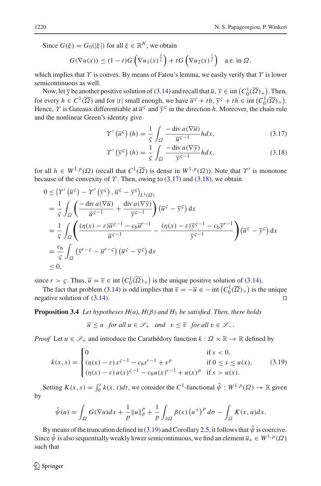Since  $G(\xi) = G_0(|\xi|)$  for all  $\xi \in \mathbb{R}^N$ , we obtain

$$
G(\nabla u(x)) \le (1-t)G\left(\nabla u_1(x)^{\frac{1}{s}}\right) + tG\left(\nabla u_2(x)^{\frac{1}{s}}\right) \quad \text{a.e. in } \Omega,
$$

which implies that  $\gamma$  is convex. By means of Fatou's lemma, we easily verify that  $\gamma$  is lower semicontinuous as well.

Now, let  $\overline{y}$  be another positive solution of [\(3.14\)](#page-11-0) and recall that  $\overline{u}$ ,  $\overline{y} \in \text{int } (C_0^1(\overline{\Omega})_+)$ . Then, for every  $h \in C^1(\overline{\Omega})$  and for  $|t|$  small enough, we have  $\overline{u}^{\varsigma} + th$ ,  $\overline{y}^{\varsigma} + th \in \text{int}(C_0^1(\overline{\Omega})_+)$ . Hence,  $\gamma$  is Gateaux differentiable at  $\overline{u}^s$  and  $\overline{v}^s$  in the direction *h*. Moreover, the chain rule and the nonlinear Green's identity give

<span id="page-13-0"></span>
$$
\Upsilon'\left(\overline{u}^{\varsigma}\right)(h) = \frac{1}{\varsigma} \int_{\Omega} \frac{-\operatorname{div} a(\nabla \overline{u})}{\overline{u}^{\varsigma - 1}} h dx, \tag{3.17}
$$

<span id="page-13-1"></span>
$$
\Upsilon'\left(\overline{\mathbf{y}}^{\zeta}\right)(h) = \frac{1}{\zeta} \int_{\Omega} \frac{-\operatorname{div} a(\nabla \overline{\mathbf{y}})}{\overline{\mathbf{y}}^{\zeta - 1}} h dx, \tag{3.18}
$$

for all  $h \in W^{1,p}(\Omega)$  (recall that  $C^1(\overline{\Omega})$  is dense in  $W^{1,p}(\Omega)$ ). Note that  $\Upsilon'$  is monotone because of the convexity of  $\Upsilon$ . Then, owing to [\(3.17\)](#page-13-0) and [\(3.18\)](#page-13-1), we obtain

$$
0 \leq \left\langle \Upsilon' \left( \overline{u}^{\varsigma} \right) - \Upsilon' \left( \overline{y}^{\varsigma} \right), \overline{u}^{\varsigma} - \overline{y}^{\varsigma} \right\rangle_{L^{1}(\Omega)}
$$
  
\n
$$
= \frac{1}{\varsigma} \int_{\Omega} \left( \frac{-\operatorname{div} a(\nabla \overline{u})}{\overline{u}^{\varsigma - 1}} + \frac{\operatorname{div} a(\nabla \overline{y})}{\overline{y}^{\varsigma - 1}} \right) \left( \overline{u}^{\varsigma} - \overline{y}^{\varsigma} \right) dx
$$
  
\n
$$
= \frac{1}{\varsigma} \int_{\Omega} \left( \frac{(\eta(x) - \varepsilon) \overline{u}^{\varsigma - 1} - c_6 \overline{u}^{r - 1}}{\overline{u}^{\varsigma - 1}} - \frac{(\eta(x) - \varepsilon) \overline{y}^{\varsigma - 1} - c_6 \overline{y}^{r - 1}}{\overline{y}^{\varsigma - 1}} \right) \left( \overline{u}^{\varsigma} - \overline{y}^{\varsigma} \right) dx
$$
  
\n
$$
= \frac{c_6}{\varsigma} \int_{\Omega} \left( \overline{y}^{r - \varsigma} - \overline{u}^{r - \varsigma} \right) \left( \overline{u}^{\varsigma} - \overline{y}^{\varsigma} \right) dx
$$
  
\n
$$
\leq 0,
$$

since  $r > \zeta$ . Thus,  $\overline{u} = \overline{v} \in \text{int} \left( C_0^1(\overline{\Omega})_+ \right)$  is the unique positive solution of [\(3.14\)](#page-11-0).

The fact that problem [\(3.14\)](#page-11-0) is odd implies that  $\overline{v} = -\overline{u} \in -\text{int}\left(C_0^1(\overline{\Omega})_+\right)$  is the unique negative solution of  $(3.14)$ .

<span id="page-13-3"></span>**Proposition 3.4** *Let hypotheses H(a), H*(β*) and H*<sup>1</sup> *be satisfied. Then, there holds*

<span id="page-13-2"></span>
$$
\overline{u} \le u \quad \text{for all } u \in \mathcal{S}_+ \quad \text{and} \quad v \le \overline{v} \quad \text{for all } v \in \mathcal{S}_-.
$$

*Proof* Let  $u \in \mathscr{S}_+$  and introduce the Carathédory function  $k : \Omega \times \mathbb{R} \to \mathbb{R}$  defined by

$$
k(x,s) = \begin{cases} 0 & \text{if } s < 0, \\ (\eta(x) - \varepsilon) s^{\varepsilon - 1} - c_6 s^{r - 1} + s^p & \text{if } 0 \le s \le u(x), \\ (\eta(x) - \varepsilon) u(x)^{\varepsilon - 1} - c_6 u(x)^{r - 1} + u(x)^p & \text{if } s > u(x). \end{cases}
$$
(3.19)

Setting  $K(x, s) = \int_0^s k(x, t)dt$ , we consider the  $C^1$ -functional  $\hat{\psi}: W^{1,p}(\Omega) \to \mathbb{R}$  given by

$$
\hat{\psi}(u) = \int_{\Omega} G(\nabla u) dx + \frac{1}{p} ||u||_{p}^{p} + \frac{1}{p} \int_{\partial \Omega} \beta(x) (u^{+})^{p} d\sigma - \int_{\Omega} K(x, u) dx.
$$

By means of the truncation defined in [\(3.19\)](#page-13-2) and Corollary [2.5,](#page-3-2) it follows that  $\hat{\psi}$  is coercive. Since  $\hat{\psi}$  is also sequentially weakly lower semicontinuous, we find an element  $\overline{u}_* \in W^{1,p}(\Omega)$ such that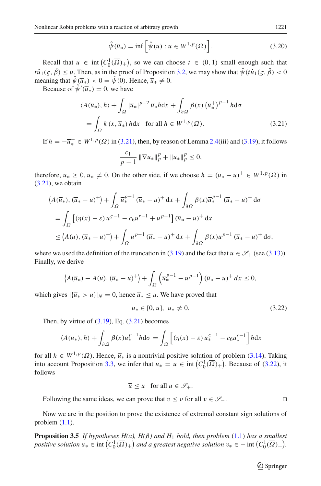$$
\hat{\psi}(\overline{u}_*) = \inf \left[ \hat{\psi}(u) : u \in W^{1,p}(\Omega) \right]. \tag{3.20}
$$

Recall that  $u \in \text{int}(C_0^1(\overline{\Omega})_+)$ , so we can choose  $t \in (0, 1)$  small enough such that  $t\hat{u}_1(\varsigma,\hat{\beta})\leq u$ . Then, as in the proof of Proposition [3.2,](#page-7-1) we may show that  $\hat{\psi}(t\hat{u}_1(\varsigma,\hat{\beta})< 0$ meaning that  $\hat{\psi}(\overline{u}_*) < 0 = \hat{\psi}(0)$ . Hence,  $\overline{u}_* \neq 0$ .

Because of  $\psi'(\overline{u}_*) = 0$ , we have

$$
\langle A(\overline{u}_*), h \rangle + \int_{\Omega} |\overline{u}_*|^{p-2} \overline{u}_* h \, dx + \int_{\partial \Omega} \beta(x) (\overline{u}_*^+)^{p-1} h \, d\sigma
$$
  
= 
$$
\int_{\Omega} k(x, \overline{u}_*) h \, dx \quad \text{for all } h \in W^{1, p}(\Omega). \tag{3.21}
$$

If  $h = -\overline{u}_{*} \in W^{1,p}(\Omega)$  in [\(3.21\)](#page-14-0), then, by reason of Lemma [2.4\(](#page-3-1)iii) and [\(3.19\)](#page-13-2), it follows

<span id="page-14-0"></span>
$$
\frac{c_1}{p-1} \|\nabla \overline{u}_*\|_p^p + \|\overline{u}_*\|_p^p \le 0,
$$

therefore,  $\overline{u}_* \geq 0$ ,  $\overline{u}_* \neq 0$ . On the other side, if we choose  $h = (\overline{u}_* - u)^+ \in W^{1,p}(\Omega)$  in  $(3.21)$ , we obtain

$$
\langle A(\overline{u}_*), (\overline{u}_* - u)^+ \rangle + \int_{\Omega} \overline{u}_*^{p-1} (\overline{u}_* - u)^+ \, dx + \int_{\partial \Omega} \beta(x) \overline{u}_*^{p-1} (\overline{u}_* - u)^+ \, d\sigma
$$
  
= 
$$
\int_{\Omega} \left[ (\eta(x) - \varepsilon) u^{\varepsilon - 1} - c_6 u^{r-1} + u^{p-1} \right] (\overline{u}_* - u)^+ \, dx
$$
  

$$
\leq \langle A(u), (\overline{u}_* - u)^+ \rangle + \int_{\Omega} u^{p-1} (\overline{u}_* - u)^+ \, dx + \int_{\partial \Omega} \beta(x) u^{p-1} (\overline{u}_* - u)^+ \, d\sigma,
$$

where we used the definition of the truncation in [\(3.19\)](#page-13-2) and the fact that  $u \in \mathscr{S}_+$  (see [\(3.13\)](#page-11-1)). Finally, we derive

$$
\left\langle A(\overline{u}_*) - A(u), (\overline{u}_* - u)^+ \right\rangle + \int_{\Omega} \left( \overline{u}_*^{p-1} - u^{p-1} \right) (\overline{u}_* - u)^+ dx \le 0,
$$

which gives  $|{\bar{u}_* > u}|_N = 0$ , hence  ${\bar{u}_* \le u}$ . We have proved that

<span id="page-14-1"></span>
$$
\overline{u}_* \in [0, u], \ \overline{u}_* \neq 0. \tag{3.22}
$$

Then, by virtue of  $(3.19)$ , Eq.  $(3.21)$  becomes

$$
\langle A(\overline{u}_*), h \rangle + \int_{\partial \Omega} \beta(x) \overline{u}_*^{p-1} h \, d\sigma = \int_{\Omega} \left[ (\eta(x) - \varepsilon) \overline{u}_*^{c-1} - c_6 \overline{u}_*^{r-1} \right] h \, dx
$$

for all  $h \in W^{1,p}(\Omega)$ . Hence,  $\overline{u}_*$  is a nontrivial positive solution of problem [\(3.14\)](#page-11-0). Taking into account Proposition [3.3,](#page-11-2) we infer that  $\overline{u}_* = \overline{u} \in \text{int}\left(C_0^1(\overline{\Omega})_+\right)$ . Because of [\(3.22\)](#page-14-1), it follows

$$
\overline{u} \le u \quad \text{for all } u \in \mathcal{S}_+.
$$

Following the same ideas, we can prove that  $v \leq \overline{v}$  for all  $v \in \mathscr{S}_-$ .

<span id="page-14-2"></span>Now we are in the position to prove the existence of extremal constant sign solutions of problem  $(1.1)$ .

**Proposition 3.5** *If hypotheses H(a), H(*β*) and H*<sup>1</sup> *hold, then problem* [\(1.1\)](#page-0-0) *has a smallest positive solution*  $u_* \in \text{int}\left(C_0^1(\overline{\Omega})_+\right)$  and a greatest negative solution  $v_* \in -\text{int}\left(C_0^1(\overline{\Omega})_+\right)$ .

 $\hat{\mathfrak{D}}$  Springer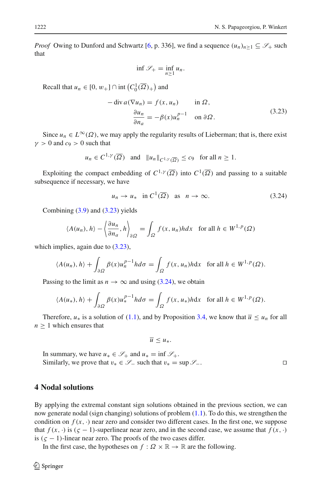*Proof* Owing to Dunford and Schwartz [\[6,](#page-28-21) p. 336], we find a sequence  $(u_n)_{n>1} \subseteq \mathcal{S}_+$  such that

$$
\inf \mathscr{S}_+ = \inf_{n \ge 1} u_n.
$$

<span id="page-15-0"></span>Recall that  $u_n \in [0, w_+] \cap \text{int}\left(C_0^1(\overline{\Omega})_+\right)$  and

$$
-\operatorname{div} a(\nabla u_n) = f(x, u_n) \quad \text{in } \Omega,
$$
  

$$
\frac{\partial u_n}{\partial n_a} = -\beta(x)u_n^{p-1} \quad \text{on } \partial\Omega.
$$
 (3.23)

Since  $u_n \in L^{\infty}(\Omega)$ , we may apply the regularity results of Lieberman; that is, there exist  $\gamma > 0$  and  $c_9 > 0$  such that

$$
u_n \in C^{1,\gamma}(\overline{\Omega})
$$
 and  $||u_n||_{C^{1,\gamma}(\overline{\Omega})} \leq c_9$  for all  $n \geq 1$ .

Exploiting the compact embedding of  $C^{1,\gamma}(\overline{\Omega})$  into  $C^1(\overline{\Omega})$  and passing to a suitable subsequence if necessary, we have

<span id="page-15-1"></span>
$$
u_n \to u_* \quad \text{in } C^1(\overline{\Omega}) \quad \text{as} \quad n \to \infty. \tag{3.24}
$$

Combining  $(3.9)$  and  $(3.23)$  yields

$$
\langle A(u_n), h \rangle - \left\langle \frac{\partial u_n}{\partial n_a}, h \right\rangle_{\partial \Omega} = \int_{\Omega} f(x, u_n) h dx \quad \text{for all } h \in W^{1, p}(\Omega)
$$

which implies, again due to  $(3.23)$ ,

$$
\langle A(u_n), h \rangle + \int_{\partial \Omega} \beta(x) u_n^{p-1} h d\sigma = \int_{\Omega} f(x, u_n) h dx \text{ for all } h \in W^{1, p}(\Omega).
$$

Passing to the limit as  $n \to \infty$  and using [\(3.24\)](#page-15-1), we obtain

$$
\langle A(u_*) , h \rangle + \int_{\partial \Omega} \beta(x) u_*^{p-1} h d\sigma = \int_{\Omega} f(x, u_*) h dx \text{ for all } h \in W^{1, p}(\Omega).
$$

Therefore,  $u_*$  is a solution of [\(1.1\)](#page-0-0), and by Proposition [3.4,](#page-13-3) we know that  $\overline{u} \leq u_n$  for all  $n > 1$  which ensures that

$$
\overline{u}\leq u_*
$$

In summary, we have  $u_* \in \mathcal{S}_+$  and  $u_* = \inf \mathcal{S}_+$ . Similarly, we prove that  $v_* \in \mathcal{S}_-$  such that  $v_* = \sup \mathcal{S}_-$ . □

#### **4 Nodal solutions**

By applying the extremal constant sign solutions obtained in the previous section, we can now generate nodal (sign changing) solutions of problem [\(1.1\)](#page-0-0). To do this, we strengthen the condition on  $f(x, \cdot)$  near zero and consider two different cases. In the first one, we suppose that  $f(x, \cdot)$  is ( $\zeta$  − 1)-superlinear near zero, and in the second case, we assume that  $f(x, \cdot)$ is  $(\zeta - 1)$ -linear near zero. The proofs of the two cases differ.

In the first case, the hypotheses on  $f : \Omega \times \mathbb{R} \to \mathbb{R}$  are the following.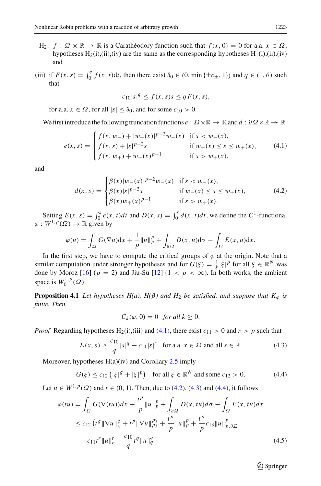- H<sub>2</sub>:  $f : \Omega \times \mathbb{R} \to \mathbb{R}$  is a Carathéodory function such that  $f(x, 0) = 0$  for a.a.  $x \in \Omega$ , hypotheses  $H_2(i)$ ,(ii),(iv) are the same as the corresponding hypotheses  $H_1(i)$ ,(ii),(iv) and
- (iii) if  $F(x, s) = \int_0^s f(x, t)dt$ , then there exist  $\delta_0 \in (0, \min{\{\pm c_{\pm}, 1\}})$  and  $q \in (1, \theta)$  such that

<span id="page-16-1"></span><span id="page-16-0"></span>
$$
c_{10}|s|^q \le f(x,s)s \le qF(x,s),
$$

for a.a.  $x \in \Omega$ , for all  $|s| < \delta_0$ , and for some  $c_{10} > 0$ .

We first introduce the following truncation functions  $e: \Omega \times \mathbb{R} \to \mathbb{R}$  and  $d: \partial \Omega \times \mathbb{R} \to \mathbb{R}$ .

$$
e(x,s) = \begin{cases} f(x,w_-) + |w_-(x)|^{p-2}w_-(x) & \text{if } s < w_-(x), \\ f(x,s) + |s|^{p-2}s & \text{if } w_-(x) \le s \le w_+(x), \\ f(x,w_+) + w_+(x)^{p-1} & \text{if } s > w_+(x), \end{cases}
$$
(4.1)

and

$$
d(x,s) = \begin{cases} \beta(x)|w_{-}(x)|^{p-2}w_{-}(x) & \text{if } s < w_{-}(x), \\ \beta(x)|s|^{p-2}s & \text{if } w_{-}(x) \le s \le w_{+}(x), \\ \beta(x)w_{+}(x)^{p-1} & \text{if } s > w_{+}(x). \end{cases}
$$
(4.2)

Setting  $E(x, s) = \int_0^s e(x, t)dt$  and  $D(x, s) = \int_0^s d(x, t)dt$ , we define the  $C^1$ -functional  $\varphi: W^{1,p}(\Omega) \to \mathbb{R}$  given by

$$
\varphi(u) = \int_{\Omega} G(\nabla u) dx + \frac{1}{p} ||u||_{p}^{p} + \int_{\partial \Omega} D(x, u) d\sigma - \int_{\Omega} E(x, u) dx.
$$

In the first step, we have to compute the critical groups of  $\varphi$  at the origin. Note that a similar computation under stronger hypotheses and for  $G(\xi) = \frac{1}{\xi} |\xi|^p$  for all  $\xi \in \mathbb{R}^N$  was done by Moroz  $[16]$  $[16]$  ( $p = 2$ ) and Jiu-Su  $[12]$  $[12]$  ( $1 < p < \infty$ ). In both works, the ambient space is  $W_0^{1,p}(\Omega)$ .

<span id="page-16-5"></span>**Proposition 4.1** *Let hypotheses H(a), H(* $\beta$ *) and H<sub>2</sub> be satisfied, and suppose that*  $K_{\varphi}$  *is finite. Then,*

<span id="page-16-4"></span><span id="page-16-3"></span><span id="page-16-2"></span>
$$
C_k(\varphi, 0) = 0 \text{ for all } k \ge 0.
$$

*Proof* Regarding hypotheses H<sub>2</sub>(i),(iii) and [\(4.1\)](#page-16-0), there exist  $c_{11} > 0$  and  $r > p$  such that

$$
E(x, s) \ge \frac{c_{10}}{q} |s|^q - c_{11} |s|^r \text{ for a.a. } x \in \Omega \text{ and all } s \in \mathbb{R}.
$$
 (4.3)

Moreover, hypotheses  $H(a)(iv)$  and Corollary [2.5](#page-3-2) imply

$$
G(\xi) \le c_{12} (|\xi|^5 + |\xi|^p) \quad \text{for all } \xi \in \mathbb{R}^N \text{ and some } c_{12} > 0. \tag{4.4}
$$

Let *u* ∈ *W*<sup>1,*p*</sup>( $\Omega$ ) and *t* ∈ (0, 1). Then, due to [\(4.2\)](#page-16-1), [\(4.3\)](#page-16-2) and [\(4.4\)](#page-16-3), it follows

$$
\varphi(tu) = \int_{\Omega} G(\nabla(tu))dx + \frac{t^p}{p} ||u||_p^p + \int_{\partial\Omega} D(x, tu)d\sigma - \int_{\Omega} E(x, tu)dx
$$
  
\n
$$
\leq c_{12} (t^5 ||\nabla u||_2^c + t^p ||\nabla u||_p^p) + \frac{t^p}{p} ||u||_p^p + \frac{t^p}{p} c_{13} ||u||_{p,\partial\Omega}^p
$$
  
\n
$$
+ c_{11}t^r ||u||_r^r - \frac{c_{10}}{q} t^q ||u||_q^q
$$
\n(4.5)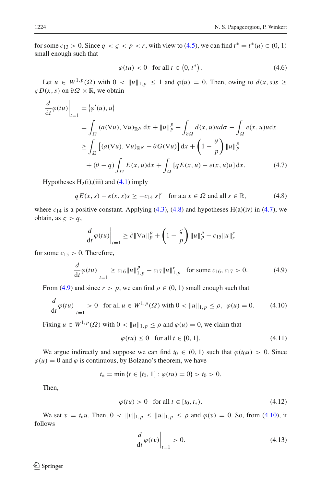for some  $c_{13} > 0$ . Since  $q < \zeta < p < r$ , with view to [\(4.5\)](#page-16-4), we can find  $t^* = t^*(u) \in (0, 1)$ small enough such that

<span id="page-17-7"></span><span id="page-17-1"></span>
$$
\varphi(tu) < 0 \quad \text{for all } t \in \left(0, t^*\right). \tag{4.6}
$$

Let  $u \in W^{1,p}(\Omega)$  with  $0 < ||u||_{1,p} \le 1$  and  $\varphi(u) = 0$ . Then, owing to  $d(x, s)s \ge 1$  $\zeta D(x, s)$  on  $\partial \Omega \times \mathbb{R}$ , we obtain

$$
\frac{d}{dt}\varphi(tu)\Big|_{t=1} = \langle \varphi'(u), u \rangle
$$
\n
$$
= \int_{\Omega} (a(\nabla u), \nabla u)_{\mathbb{R}^N} dx + \|u\|_p^p + \int_{\partial \Omega} d(x, u)u d\sigma - \int_{\Omega} e(x, u)u dx
$$
\n
$$
\geq \int_{\Omega} \left[ (a(\nabla u), \nabla u)_{\mathbb{R}^N} - \theta G(\nabla u) \right] dx + \left( 1 - \frac{\theta}{p} \right) \|u\|_p^p
$$
\n
$$
+ (\theta - q) \int_{\Omega} E(x, u) dx + \int_{\Omega} \left[ q E(x, u) - e(x, u)u \right] dx. \tag{4.7}
$$

Hypotheses  $H_2(i)$ , (iii) and [\(4.1\)](#page-16-0) imply

$$
qE(x, s) - e(x, s)s \ge -c_{14}|s|^{r} \quad \text{for a.a } x \in \Omega \text{ and all } s \in \mathbb{R}, \tag{4.8}
$$

where  $c_{14}$  is a positive constant. Applying [\(4.3\)](#page-16-2), [\(4.8\)](#page-17-0) and hypotheses  $H(a)(iv)$  in [\(4.7\)](#page-17-1), we obtain, as  $\zeta > q$ ,

<span id="page-17-0"></span>
$$
\frac{d}{dt}\varphi(tu)\Big|_{t=1} \geq \tilde{c}\|\nabla u\|_p^p + \left(1 - \frac{S}{p}\right)\|u\|_p^p - c_{15}\|u\|_r^p
$$

for some  $c_{15} > 0$ . Therefore,

$$
\frac{d}{dt}\varphi(tu)\Big|_{t=1} \ge c_{16}||u||_{1,p}^p - c_{17}||u||_{1,p}^r \quad \text{for some } c_{16}, c_{17} > 0. \tag{4.9}
$$

From [\(4.9\)](#page-17-2) and since  $r > p$ , we can find  $\rho \in (0, 1)$  small enough such that

$$
\left. \frac{d}{dt} \varphi(tu) \right|_{t=1} > 0 \quad \text{for all } u \in W^{1,p}(\Omega) \text{ with } 0 < \|u\|_{1,p} \le \rho, \ \varphi(u) = 0. \tag{4.10}
$$

Fixing  $u \in W^{1,p}(\Omega)$  with  $0 < ||u||_{1,p} \le \rho$  and  $\varphi(u) = 0$ , we claim that

<span id="page-17-6"></span><span id="page-17-3"></span><span id="page-17-2"></span>
$$
\varphi(tu) \le 0 \quad \text{for all } t \in [0, 1]. \tag{4.11}
$$

We argue indirectly and suppose we can find  $t_0 \in (0, 1)$  such that  $\varphi(t_0 u) > 0$ . Since  $\varphi(u) = 0$  and  $\varphi$  is continuous, by Bolzano's theorem, we have

$$
t_* = \min \{ t \in [t_0, 1] : \varphi(tu) = 0 \} > t_0 > 0.
$$

Then,

$$
\varphi(tu) > 0 \quad \text{for all } t \in [t_0, t_*). \tag{4.12}
$$

We set  $v = t_*u$ . Then,  $0 < ||v||_{1,p} \le ||u||_{1,p} \le \rho$  and  $\varphi(v) = 0$ . So, from [\(4.10\)](#page-17-3), it follows

<span id="page-17-5"></span><span id="page-17-4"></span>
$$
\left. \frac{d}{dt}\varphi(tv)\right|_{t=1} > 0. \tag{4.13}
$$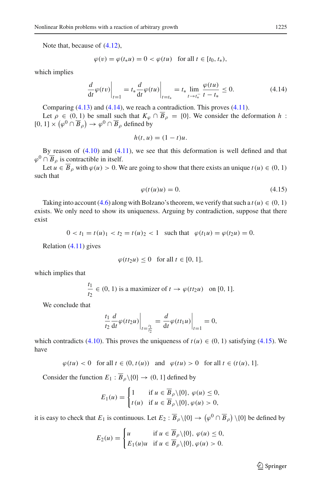Note that, because of [\(4.12\)](#page-17-4),

$$
\varphi(v) = \varphi(t_*u) = 0 < \varphi(tu) \quad \text{for all } t \in [t_0, t_*),
$$

which implies

$$
\frac{d}{dt}\varphi(tv)\Big|_{t=1} = t_*\frac{d}{dt}\varphi(tu)\Big|_{t=t_*} = t_*\lim_{t \to t_*^-}\frac{\varphi(tu)}{t-t_*} \le 0.
$$
\n(4.14)

Comparing  $(4.13)$  and  $(4.14)$ , we reach a contradiction. This proves  $(4.11)$ .

Let  $\rho \in (0, 1)$  be small such that  $K_{\varphi} \cap \overline{B}_{\rho} = \{0\}$ . We consider the deformation *h*:  $[0, 1] \times (\varphi^0 \cap \overline{B}_{\rho}) \to \varphi^0 \cap \overline{B}_{\rho}$  defined by

<span id="page-18-0"></span>
$$
h(t, u) = (1 - t)u.
$$

By reason of [\(4.10\)](#page-17-3) and [\(4.11\)](#page-17-6), we see that this deformation is well defined and that  $\varphi^0 \cap \overline{B}_\rho$  is contractible in itself.

Let  $u \in \overline{B}_{\rho}$  with  $\varphi(u) > 0$ . We are going to show that there exists an unique  $t(u) \in (0, 1)$ such that

<span id="page-18-1"></span>
$$
\varphi(t(u)u) = 0.\tag{4.15}
$$

Taking into account  $(4.6)$  along with Bolzano's theorem, we verify that such a  $t(u) \in (0, 1)$ exists. We only need to show its uniqueness. Arguing by contradiction, suppose that there exist

$$
0 < t_1 = t(u)_1 < t_2 = t(u)_2 < 1 \quad \text{such that} \quad \varphi(t_1 u) = \varphi(t_2 u) = 0.
$$

Relation [\(4.11\)](#page-17-6) gives

$$
\varphi(t t_2 u) \le 0 \quad \text{for all } t \in [0, 1],
$$

which implies that

$$
\frac{t_1}{t_2} \in (0, 1) \text{ is a maximizer of } t \to \varphi(t t_2 u) \quad \text{on } [0, 1].
$$

We conclude that

$$
\frac{t_1}{t_2} \frac{d}{dt} \varphi(t t_2 u) \bigg|_{t = \frac{t_1}{t_2}} = \frac{d}{dt} \varphi(t t_1 u) \bigg|_{t=1} = 0,
$$

which contradicts [\(4.10\)](#page-17-3). This proves the uniqueness of  $t(u) \in (0, 1)$  satisfying [\(4.15\)](#page-18-1). We have

$$
\varphi(tu) < 0 \quad \text{for all } t \in (0, t(u)) \quad \text{and} \quad \varphi(tu) > 0 \quad \text{for all } t \in (t(u), 1].
$$

Consider the function  $E_1 : \overline{B}_\rho \setminus \{0\} \to (0, 1]$  defined by

$$
E_1(u) = \begin{cases} 1 & \text{if } u \in \overline{B}_{\rho} \setminus \{0\}, \ \varphi(u) \le 0, \\ t(u) & \text{if } u \in \overline{B}_{\rho} \setminus \{0\}, \varphi(u) > 0, \end{cases}
$$

it is easy to check that  $E_1$  is continuous. Let  $E_2 : \overline{B}_\rho \setminus \{0\} \to (\varphi^0 \cap \overline{B}_\rho) \setminus \{0\}$  be defined by

$$
E_2(u) = \begin{cases} u & \text{if } u \in \overline{B}_{\rho} \setminus \{0\}, \ \varphi(u) \le 0, \\ E_1(u)u & \text{if } u \in \overline{B}_{\rho} \setminus \{0\}, \varphi(u) > 0. \end{cases}
$$

 $\hat{\mathfrak{D}}$  Springer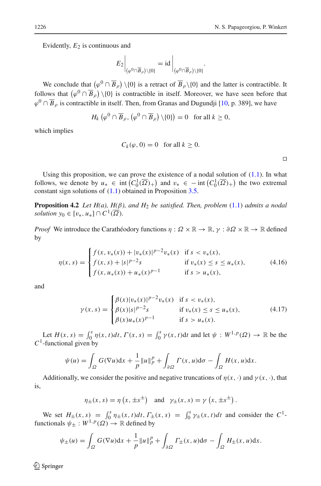Evidently,  $E_2$  is continuous and

$$
E_2\Big|_{(\varphi^0\cap\overline{B}_\rho)\setminus\{0\}} = \mathrm{id}\Big|_{(\varphi^0\cap\overline{B}_\rho)\setminus\{0\}}.
$$

We conclude that  $(\varphi^0 \cap \overline{B}_{\rho}) \setminus \{0\}$  is a retract of  $\overline{B}_{\rho} \setminus \{0\}$  and the latter is contractible. It follows that  $(\varphi^0 \cap \overline{B}_\rho) \setminus \{0\}$  is contractible in itself. Moreover, we have seen before that  $\varphi^0 \cap \overline{B}_\rho$  is contractible in itself. Then, from Granas and Dugundji [\[10,](#page-28-24) p. 389], we have

$$
H_k\left(\varphi^0 \cap \overline{B}_\rho, \left(\varphi^0 \cap \overline{B}_\rho\right) \setminus \{0\}\right) = 0 \text{ for all } k \ge 0,
$$

which implies

<span id="page-19-3"></span>
$$
C_k(\varphi, 0) = 0 \quad \text{for all } k \ge 0.
$$

<span id="page-19-0"></span> $\Box$ 

Using this proposition, we can prove the existence of a nodal solution of  $(1.1)$ . In what follows, we denote by  $u_* \in \text{int}\left(C_0^1(\overline{\Omega})_+\right)$  and  $v_* \in \text{-int}\left(C_0^1(\overline{\Omega})_+\right)$  the two extremal constant sign solutions of [\(1.1\)](#page-0-0) obtained in Proposition [3.5.](#page-14-2)

**Proposition 4.2** *Let H(a), H(*β*), and H*<sup>2</sup> *be satisfied. Then, problem* [\(1.1\)](#page-0-0) *admits a nodal solution*  $y_0 \in [v_*, u_*] \cap C^1(\overline{\Omega})$ *.* 

*Proof* We introduce the Carathéodory functions  $\eta : \Omega \times \mathbb{R} \to \mathbb{R}$ ,  $\gamma : \partial \Omega \times \mathbb{R} \to \mathbb{R}$  defined by

$$
\eta(x,s) = \begin{cases}\nf(x, v_*(x)) + |v_*(x)|^{p-2}v_*(x) & \text{if } s < v_*(x), \\
f(x, s) + |s|^{p-2}s & \text{if } v_*(x) \le s \le u_*(x), \\
f(x, u_*(x)) + u_*(x)^{p-1} & \text{if } s > u_*(x),\n\end{cases} \tag{4.16}
$$

and

<span id="page-19-1"></span>
$$
\gamma(x,s) = \begin{cases} \beta(x)|v_*(x)|^{p-2}v_*(x) & \text{if } s < v_*(x), \\ \beta(x)|s|^{p-2}s & \text{if } v_*(x) \le s \le u_*(x), \\ \beta(x)u_*(x)^{p-1} & \text{if } s > u_*(x). \end{cases}
$$
(4.17)

Let  $H(x, s) = \int_0^s \eta(x, t) dt$ ,  $\Gamma(x, s) = \int_0^s \gamma(x, t) dt$  and let  $\psi : W^{1, p}(\Omega) \to \mathbb{R}$  be the *C*1-functional given by

$$
\psi(u) = \int_{\Omega} G(\nabla u) dx + \frac{1}{p} ||u||_{p}^{p} + \int_{\partial \Omega} \Gamma(x, u) d\sigma - \int_{\Omega} H(x, u) dx.
$$

Additionally, we consider the positive and negative truncations of  $\eta(x, \cdot)$  and  $\gamma(x, \cdot)$ , that is,

$$
\eta_{\pm}(x, s) = \eta(x, \pm s^{\pm})
$$
 and  $\gamma_{\pm}(x, s) = \gamma(x, \pm s^{\pm})$ .

We set  $H_{\pm}(x, s) = \int_0^s \eta_{\pm}(x, t) dt$ ,  $\Gamma_{\pm}(x, s) = \int_0^s \gamma_{\pm}(x, t) dt$  and consider the  $C^1$ functionals  $\psi_{\pm}: W^{1,p}(\Omega) \to \mathbb{R}$  defined by

$$
\psi_{\pm}(u) = \int_{\Omega} G(\nabla u) dx + \frac{1}{p} ||u||_p^p + \int_{\partial \Omega} \Gamma_{\pm}(x, u) d\sigma - \int_{\Omega} H_{\pm}(x, u) dx.
$$

<span id="page-19-2"></span> $\mathcal{L}$  Springer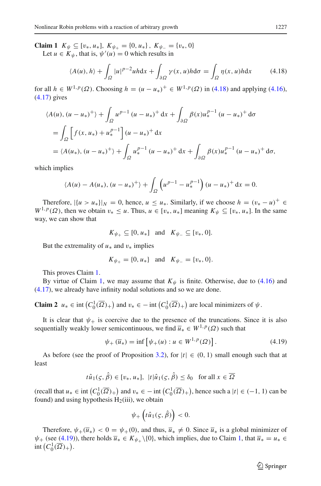**Claim 1** *K*<sup> $\psi$ </sup> ⊆ [ $v_*$ ,  $u_*$ ], *K*<sub> $\psi_+$ </sub> = { $v_*$ ,  $W_{\psi_-}$  = { $v_*$ ,  $v_0$ } Let  $u \in K_{\psi}$ , that is,  $\psi'(u) = 0$  which results in

<span id="page-20-0"></span>
$$
\langle A(u), h \rangle + \int_{\Omega} |u|^{p-2} u h \, \mathrm{d}x + \int_{\partial \Omega} \gamma(x, u) h \, \mathrm{d}\sigma = \int_{\Omega} \eta(x, u) h \, \mathrm{d}x \tag{4.18}
$$

for all *h* ∈ *W*<sup>1,*p*</sup>(Ω). Choosing *h* =  $(u - u_*)^+$  ∈ *W*<sup>1,*p*</sup>(Ω) in [\(4.18\)](#page-20-0) and applying [\(4.16\)](#page-19-0), [\(4.17\)](#page-19-1) gives

$$
\langle A(u), (u - u_*)^+ \rangle + \int_{\Omega} u^{p-1} (u - u_*)^+ \, dx + \int_{\partial \Omega} \beta(x) u_*^{p-1} (u - u_*)^+ \, d\sigma
$$
  
= 
$$
\int_{\Omega} \left[ f(x, u_*) + u_*^{p-1} \right] (u - u_*)^+ \, dx
$$
  
= 
$$
\langle A(u_*) , (u - u_*)^+ \rangle + \int_{\Omega} u_*^{p-1} (u - u_*)^+ \, dx + \int_{\partial \Omega} \beta(x) u_*^{p-1} (u - u_*)^+ \, d\sigma,
$$

which implies

$$
\langle A(u) - A(u_*) , (u - u_*)^+ \rangle + \int_{\Omega} \left( u^{p-1} - u_*^{p-1} \right) (u - u_*)^+ \, \mathrm{d}x = 0.
$$

Therefore,  $|\{u > u_*\}|_N = 0$ , hence,  $u \le u_*$ . Similarly, if we choose  $h = (v_* - u)^+ \in$  $W^{1,p}(\Omega)$ , then we obtain  $v_* \leq u$ . Thus,  $u \in [v_*, u_*]$  meaning  $K_w \subseteq [v_*, u_*]$ . In the same way, we can show that

$$
K_{\psi_+} \subseteq [0, u_*] \quad \text{and} \quad K_{\psi_-} \subseteq [v_*, 0].
$$

But the extremality of  $u_*$  and  $v_*$  implies

$$
K_{\psi_+} = \{0, u_*\}
$$
 and  $K_{\psi_-} = \{v_*, 0\}.$ 

This proves Claim [1.](#page-19-2)

By virtue of Claim [1,](#page-19-2) we may assume that  $K_{\psi}$  is finite. Otherwise, due to [\(4.16\)](#page-19-0) and [\(4.17\)](#page-19-1), we already have infinity nodal solutions and so we are done.

<span id="page-20-2"></span>**Claim 2**  $u_* \in \text{int}\left(C_0^1(\overline{\Omega})_+\right)$  and  $v_* \in -\text{int}\left(C_0^1(\overline{\Omega})_+\right)$  are local minimizers of  $\psi$ .

It is clear that  $\psi_+$  is coercive due to the presence of the truncations. Since it is also sequentially weakly lower semicontinuous, we find  $\overline{u}_* \in W^{1,p}(\Omega)$  such that

<span id="page-20-1"></span>
$$
\psi_+(\overline{u}_*) = \inf \left[ \psi_+(u) : u \in W^{1,p}(\Omega) \right]. \tag{4.19}
$$

As before (see the proof of Proposition [3.2\)](#page-7-1), for  $|t| \in (0, 1)$  small enough such that at least

$$
t\hat{u}_1(\varsigma,\hat{\beta}) \in [v_*, u_*], |t|\hat{u}_1(\varsigma,\hat{\beta}) \le \delta_0 \text{ for all } x \in \overline{\Omega}
$$

 $(\text{recall that } u_* \in \text{int}\left(C_0^1(\overline{\Omega})_+\right) \text{ and } v_* \in -\text{int}\left(C_0^1(\overline{\Omega})_+\right), \text{ hence such a } |t| \in (-1, 1) \text{ can be }$ found) and using hypothesis  $H_2(iii)$ , we obtain

$$
\psi_+\left(t\hat{u}_1(\varsigma,\hat{\beta})\right)<0.
$$

Therefore,  $\psi_+(\overline{u}_*) < 0 = \psi_+(0)$ , and thus,  $\overline{u}_* \neq 0$ . Since  $\overline{u}_*$  is a global minimizer of  $\psi_+$  (see [\(4.19\)](#page-20-1)), there holds  $\overline{u}_* \in K_{\psi_+} \setminus \{0\}$ , which implies, due to Claim [1,](#page-19-2) that  $\overline{u}_* = u_* \in$ int  $(C_0^1(\overline{\Omega})_+).$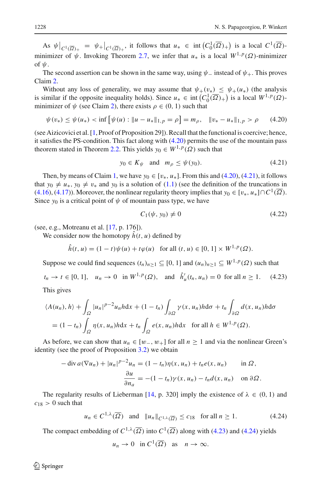As  $\psi|_{C^1(\overline{\Omega})_+} = \psi_+|_{C^1(\overline{\Omega})_+}$ , it follows that  $u_* \in \text{int}(C_0^1(\overline{\Omega})_+)$  is a local  $C^1(\overline{\Omega})$ minimizer of  $\psi$ . Invoking Theorem [2.7,](#page-4-0) we infer that  $u_*$  is a local  $W^{1,p}(\Omega)$ -minimizer of  $\psi$ .

The second assertion can be shown in the same way, using  $\psi$  – instead of  $\psi$ +. This proves Claim [2.](#page-20-2)

Without any loss of generality, we may assume that  $\psi_{+}(v_{*}) \leq \psi_{+}(\mu_{*})$  (the analysis is similar if the opposite inequality holds). Since  $u_* \in \text{int}\left(C_0^1(\overline{\Omega})_+\right)$  is a local  $W^{1,p}(\Omega)$ minimizer of  $\psi$  (see Claim [2\)](#page-20-2), there exists  $\rho \in (0, 1)$  such that

$$
\psi(v_*) \le \psi(u_*) < \inf \left[ \psi(u) : \|u - u_*\|_{1,p} = \rho \right] = m_\rho, \quad \|v_* - u_*\|_{1,p} > \rho \tag{4.20}
$$

(see Aizicovici et al. [\[1](#page-28-25), Proof of Proposition 29]). Recall that the functional is coercive; hence, it satisfies the PS-condition. This fact along with [\(4.20\)](#page-21-0) permits the use of the mountain pass theorem stated in Theorem [2.2.](#page-1-0) This yields  $y_0 \in W^{1,p}(\Omega)$  such that

<span id="page-21-0"></span>
$$
y_0 \in K_{\psi} \quad \text{and} \quad m_{\rho} \le \psi(y_0). \tag{4.21}
$$

Then, by means of Claim [1,](#page-19-2) we have  $y_0 \in [v_*, u_*]$ . From this and [\(4.20\)](#page-21-0), [\(4.21\)](#page-21-1), it follows that  $y_0 \neq u_*, y_0 \neq v_*$  and  $y_0$  is a solution of [\(1.1\)](#page-0-0) (see the definition of the truncations in  $(4.16)$ ,  $(4.17)$ ). Moreover, the nonlinear regularity theory implies that  $y_0 \in [v_*, u_*] \cap C^1(\overline{\Omega})$ . Since  $y_0$  is a critical point of  $\psi$  of mountain pass type, we have

<span id="page-21-4"></span><span id="page-21-2"></span><span id="page-21-1"></span>
$$
C_1(\psi, y_0) \neq 0 \tag{4.22}
$$

(see, e.g., Motreanu et al. [\[17](#page-28-26), p. 176]).

We consider now the homotopy  $\hat{h}(t, u)$  defined by

$$
\hat{h}(t, u) = (1 - t)\psi(u) + t\varphi(u) \text{ for all } (t, u) \in [0, 1] \times W^{1, p}(\Omega).
$$

Suppose we could find sequences  $(t_n)_{n\geq 1} \subseteq [0, 1]$  and  $(u_n)_{n\geq 1} \subseteq W^{1, p}(\Omega)$  such that

 $t_n \to t \in [0, 1], \quad u_n \to 0 \text{ in } W^{1, p}(\Omega)$ , and  $\hat{h}'_u(t_n, u_n) = 0 \text{ for all } n \ge 1.$  (4.23)

This gives

$$
\langle A(u_n), h \rangle + \int_{\Omega} |u_n|^{p-2} u_n h \, dx + (1 - t_n) \int_{\partial \Omega} \gamma(x, u_n) h \, d\sigma + t_n \int_{\partial \Omega} d(x, u_n) h \, d\sigma
$$
  
=  $(1 - t_n) \int_{\Omega} \eta(x, u_n) h \, dx + t_n \int_{\Omega} e(x, u_n) h \, dx \quad \text{for all } h \in W^{1, p}(\Omega).$ 

As before, we can show that  $u_n \in [w_-, w_+]$  for all  $n \ge 1$  and via the nonlinear Green's identity (see the proof of Proposition [3.2\)](#page-7-1) we obtain

$$
-\operatorname{div} a(\nabla u_n) + |u_n|^{p-2} u_n = (1 - t_n)\eta(x, u_n) + t_n e(x, u_n) \quad \text{in } \Omega,
$$

$$
\frac{\partial u}{\partial n_a} = -(1 - t_n)\gamma(x, u_n) - t_n d(x, u_n) \quad \text{on } \partial \Omega.
$$

The regularity results of Lieberman [\[14](#page-28-10), p. 320] imply the existence of  $\lambda \in (0, 1)$  and  $c_{18} > 0$  such that

$$
u_n \in C^{1,\lambda}(\overline{\Omega})
$$
 and  $||u_n||_{C^{1,\lambda}(\overline{\Omega})} \leq c_{18}$  for all  $n \geq 1$ . (4.24)

The compact embedding of  $C^{1,\lambda}(\overline{\Omega})$  into  $C^1(\overline{\Omega})$  along with [\(4.23\)](#page-21-2) and [\(4.24\)](#page-21-3) yields

<span id="page-21-3"></span>
$$
u_n \to 0
$$
 in  $C^1(\overline{\Omega})$  as  $n \to \infty$ .

 $\mathcal{L}$  Springer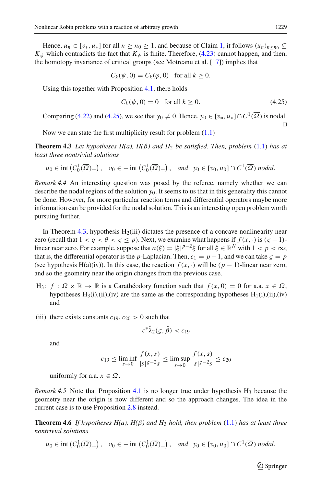Hence,  $u_n \in [v_*, u_*]$  for all  $n \ge n_0 \ge 1$ , and because of Claim [1,](#page-19-2) it follows  $(u_n)_{n \ge n_0} \subseteq$  $K_{\psi}$  which contradicts the fact that  $K_{\psi}$  is finite. Therefore, [\(4.23\)](#page-21-2) cannot happen, and then, the homotopy invariance of critical groups (see Motreanu et al. [\[17](#page-28-26)]) implies that

$$
C_k(\psi, 0) = C_k(\varphi, 0) \text{ for all } k \ge 0.
$$

Using this together with Proposition [4.1,](#page-16-5) there holds

<span id="page-22-1"></span><span id="page-22-0"></span>
$$
C_k(\psi, 0) = 0 \quad \text{for all } k \ge 0. \tag{4.25}
$$

Comparing [\(4.22\)](#page-21-4) and [\(4.25\)](#page-22-0), we see that  $y_0 \neq 0$ . Hence,  $y_0 \in [v_*, u_*] \cap C^1(\overline{\Omega})$  is nodal.  $\Box$ 

Now we can state the first multiplicity result for problem [\(1.1\)](#page-0-0)

**Theorem 4.3** *Let hypotheses H(a), H(*β*) and H*<sup>2</sup> *be satisfied. Then, problem* [\(1.1\)](#page-0-0) *has at least three nontrivial solutions*

$$
u_0 \in \text{int}\left(C_0^1(\overline{\Omega})_+\right), \quad v_0 \in -\text{int}\left(C_0^1(\overline{\Omega})_+\right), \quad \text{and} \quad y_0 \in [v_0, u_0] \cap C^1(\overline{\Omega}) \text{ nodal}.
$$

*Remark 4.4* An interesting question was posed by the referee, namely whether we can describe the nodal regions of the solution *y*0. It seems to us that in this generality this cannot be done. However, for more particular reaction terms and differential operators maybe more information can be provided for the nodal solution. This is an interesting open problem worth pursuing further.

In Theorem [4.3,](#page-22-1) hypothesis  $H_2(iii)$  dictates the presence of a concave nonlinearity near zero (recall that  $1 < q < \theta < \zeta \le p$ ). Next, we examine what happens if  $f(x, \cdot)$  is  $(\zeta - 1)$ linear near zero. For example, suppose that  $a(\xi) = |\xi|^{p-2}\xi$  for all  $\xi \in \mathbb{R}^N$  with  $1 < p < \infty$ ; that is, the differential operator is the *p*-Laplacian. Then,  $c_1 = p - 1$ , and we can take  $\zeta = p$ (see hypothesis H(a)(iv)). In this case, the reaction  $f(x, \cdot)$  will be  $(p - 1)$ -linear near zero, and so the geometry near the origin changes from the previous case.

- H<sub>3</sub>:  $f : \Omega \times \mathbb{R} \to \mathbb{R}$  is a Carathéodory function such that  $f(x, 0) = 0$  for a.a.  $x \in \Omega$ . hypotheses  $H_3(i)$ ,(ii),(iv) are the same as the corresponding hypotheses  $H_1(i)$ ,(ii),(iv) and
- (iii) there exists constants  $c_{19}$ ,  $c_{20} > 0$  such that

$$
c^*\hat{\lambda}_2(\varsigma,\hat{\beta}) < c_{19}
$$

and

$$
c_{19} \le \liminf_{s \to 0} \frac{f(x, s)}{|s|^{5-2} s} \le \limsup_{s \to 0} \frac{f(x, s)}{|s|^{5-2} s} \le c_{20}
$$

uniformly for a.a.  $x \in \Omega$ .

*Remark 4.5* Note that Proposition [4.1](#page-16-5) is no longer true under hypothesis  $H_3$  because the geometry near the origin is now different and so the approach changes. The idea in the current case is to use Proposition [2.8](#page-6-1) instead.

<span id="page-22-2"></span>**Theorem 4.6** *If hypotheses H(a), H(* $\beta$ *) and H<sub>3</sub> <i>hold, then problem* [\(1.1\)](#page-0-0) *has at least three nontrivial solutions*

$$
u_0 \in \text{int}\left(C_0^1(\overline{\Omega})_+\right), \quad v_0 \in -\text{int}\left(C_0^1(\overline{\Omega})_+\right), \quad \text{and} \quad y_0 \in [v_0, u_0] \cap C^1(\overline{\Omega}) \text{ nodal.}
$$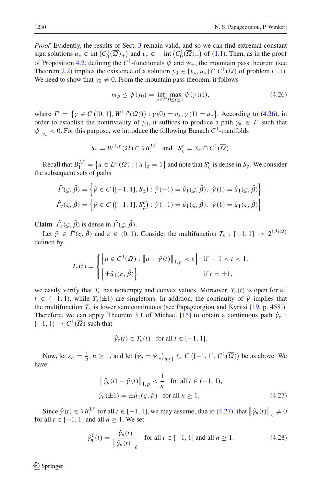*Proof* Evidently, the results of Sect. [3](#page-6-2) remain valid, and so we can find extremal constant sign solutions  $u_* \in \text{int}\left(C_0^1(\overline{\Omega})_+\right)$  and  $v_* \in -\text{int}\left(C_0^1(\overline{\Omega})_+\right)$  of [\(1.1\)](#page-0-0). Then, as in the proof of Proposition [4.2,](#page-19-3) defining the  $C^1$ -functionals  $\psi$  and  $\psi_+$ , the mountain pass theorem (see Theorem [2.2\)](#page-1-0) implies the existence of a solution  $y_0 \in [v_*, u_*] \cap C^1(\overline{\Omega})$  of problem [\(1.1\)](#page-0-0). We need to show that  $y_0 \neq 0$ . From the mountain pass theorem, it follows

<span id="page-23-0"></span>
$$
m_{\rho} \le \psi(y_0) = \inf_{\gamma \in \Gamma} \max_{0 \le t \le 1} \psi(\gamma(t)),
$$
\n(4.26)

where  $\Gamma = \{ \gamma \in C \left( [0, 1], W^{1, p}(\Omega) \right) : \gamma(0) = v_*, \gamma(1) = u_* \}.$  According to [\(4.26\)](#page-23-0), in order to establish the nontriviality of  $y_0$ , it suffices to produce a path  $\gamma_* \in \Gamma$  such that  $\psi\big|_{\gamma_*}$  < 0. For this purpose, we introduce the following Banach  $C^1$ -manifolds

$$
S_{\varsigma} = W^{1,p}(\Omega) \cap \partial B_1^{L^{\varsigma}} \quad \text{and} \quad S_{\varsigma}^c = S_{\varsigma} \cap C^1(\overline{\Omega}).
$$

Recall that  $B_1^{L^s} = \{ u \in L^s(\Omega) : ||u||_{\zeta} = 1 \}$  and note that  $S_{\zeta}^c$  is dense in  $S_{\zeta}$ . We consider the subsequent sets of paths

$$
\hat{\Gamma}(\varsigma, \hat{\beta}) = \left\{ \hat{\gamma} \in C \left( [-1, 1], S_{\varsigma} \right) : \hat{\gamma}(-1) = \hat{u}_1(\varsigma, \hat{\beta}), \ \hat{\gamma}(1) = \hat{u}_1(\varsigma, \hat{\beta}) \right\},
$$
\n
$$
\hat{\Gamma}_c(\varsigma, \hat{\beta}) = \left\{ \hat{\gamma} \in C \left( [-1, 1], S_{\varsigma}^c \right) : \hat{\gamma}(-1) = \hat{u}_1(\varsigma, \hat{\beta}), \ \hat{\gamma}(1) = \hat{u}_1(\varsigma, \hat{\beta}) \right\}
$$

**Claim**  $\Gamma_c(\varsigma, \beta)$  is dense in  $\Gamma(\varsigma, \beta)$ .

Let  $\hat{\gamma} \in \hat{\Gamma}(\zeta, \hat{\beta})$  and  $\varepsilon \in (0, 1)$ . Consider the multifunction  $T_{\varepsilon} : [-1, 1] \to 2^{C^1(\overline{\Omega})}$ defined by

$$
T_{\varepsilon}(t) = \begin{cases} \left\{ u \in C^{1}(\overline{\Omega}) : \left\| u - \hat{\gamma}(t) \right\|_{1, p} < \varepsilon \right\} & \text{if } -1 < t < 1, \\ \left\{ \pm \hat{u}_{1}(\varsigma, \hat{\beta}) \right\} & \text{if } t = \pm 1, \end{cases}
$$

we easily verify that  $T_{\varepsilon}$  has nonempty and convex values. Moreover,  $T_{\varepsilon}(t)$  is open for all  $t \in (-1, 1)$ , while  $T_{\varepsilon}(\pm 1)$  are singletons. In addition, the continuity of  $\hat{\gamma}$  implies that the multifunction  $T_{\varepsilon}$  is lower semicontinuous (see Papageorgiou and Kyritsi [\[19,](#page-28-27) p. 458]). Therefore, we can apply Theorem 3.1 of Michael [\[15\]](#page-28-28) to obtain a continuous path  $\hat{\gamma}_{\varepsilon}$  :  $[-1, 1] \rightarrow C^1(\overline{\Omega})$  such that

<span id="page-23-1"></span>
$$
\hat{\gamma}_{\varepsilon}(t) \in T_{\varepsilon}(t) \quad \text{for all } t \in [-1, 1].
$$

Now, let  $\varepsilon_n = \frac{1}{n}, n \ge 1$ , and let  $(\hat{\gamma}_n = \hat{\gamma}_{\varepsilon_n})_{n \ge 1} \subseteq C([-1, 1], C^1(\overline{\Omega}))$  be as above. We have

$$
\|\hat{\gamma}_n(t) - \hat{\gamma}(t)\|_{1,p} < \frac{1}{n} \quad \text{for all } t \in (-1, 1),
$$
\n
$$
\hat{\gamma}_n(\pm 1) = \pm \hat{u}_1(\varsigma, \hat{\beta}) \quad \text{for all } n \ge 1. \tag{4.27}
$$

Since  $\hat{\gamma}(t) \in \partial B_1^{L^s}$  for all  $t \in [-1, 1]$ , we may assume, due to [\(4.27\)](#page-23-1), that  $\|\hat{\gamma}_n(t)\|_{\mathcal{S}} \neq 0$ for all  $t \in [-1, 1]$  and all  $n \geq 1$ . We set

<span id="page-23-2"></span>
$$
\hat{\gamma}_n^0(t) = \frac{\hat{\gamma}_n(t)}{\|\hat{\gamma}_n(t)\|_{\varsigma}} \quad \text{for all } t \in [-1, 1] \text{ and all } n \ge 1.
$$
 (4.28)

 $\circledcirc$  Springer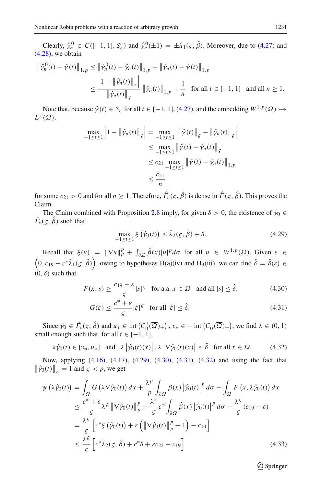Clearly,  $\hat{\gamma}_n^0 \in C([-1, 1], S^c_{\zeta})$  and  $\hat{\gamma}_n^0(\pm 1) = \pm \hat{u}_1(\zeta, \hat{\beta})$ . Moreover, due to [\(4.27\)](#page-23-1) and  $(4.28)$ , we obtain

$$
\begin{split} \left\| \hat{\gamma}_{n}^{0}(t) - \hat{\gamma}(t) \right\|_{1, p} &\leq \left\| \hat{\gamma}_{n}^{0}(t) - \hat{\gamma}_{n}(t) \right\|_{1, p} + \left\| \hat{\gamma}_{n}(t) - \hat{\gamma}(t) \right\|_{1, p} \\ &\leq \frac{\left| 1 - \left\| \hat{\gamma}_{n}(t) \right\|_{\varsigma} \right|}{\left\| \hat{\gamma}_{n}(t) \right\|_{\varsigma}} \left\| \hat{\gamma}_{n}(t) \right\|_{1, p} + \frac{1}{n} \quad \text{for all } t \in [-1, 1] \quad \text{and all } n \geq 1. \end{split}
$$

Note that, because  $\hat{\gamma}(t) \in S_{\varsigma}$  for all  $t \in [-1, 1]$ , [\(4.27\)](#page-23-1), and the embedding  $W^{1,p}(\Omega) \hookrightarrow$  $L^{\varsigma}(\Omega)$ ,

$$
\max_{-1 \le t \le 1} \left| 1 - \| \hat{\gamma}_n(t) \|_{S} \right| = \max_{-1 \le t \le 1} \left| \| \hat{\gamma}(t) \|_{S} - \| \hat{\gamma}_n(t) \|_{S} \right|
$$
  
\n
$$
\le \max_{-1 \le t \le 1} \left| \hat{\gamma}(t) - \hat{\gamma}_n(t) \right|_{S}
$$
  
\n
$$
\le c_{21} \max_{-1 \le t \le 1} \left| \hat{\gamma}(t) - \hat{\gamma}_n(t) \right|_{1,p}
$$
  
\n
$$
\le \frac{c_{21}}{n}
$$

for some  $c_{21} > 0$  and for all  $n \ge 1$ . Therefore,  $\Gamma_c(\varsigma, \beta)$  is dense in  $\Gamma(\varsigma, \beta)$ . This proves the Claim.

The Claim combined with Proposition [2.8](#page-6-1) imply, for given  $\delta > 0$ , the existence of  $\hat{\gamma}_0 \in$  $\Gamma_c(\varsigma,\beta)$  such that

<span id="page-24-2"></span><span id="page-24-1"></span><span id="page-24-0"></span>
$$
\max_{-1 \le t \le 1} \xi(\hat{\gamma}_0(t)) \le \hat{\lambda}_2(\varsigma, \hat{\beta}) + \delta. \tag{4.29}
$$

Recall that  $\xi(u) = \|\nabla u\|_p^p + \int_{\partial\Omega} \hat{\beta}(x) |u|^p d\sigma$  for all  $u \in W^{1,p}(\Omega)$ . Given  $\varepsilon \in$  $(0, c_{19} - c^* \hat{\lambda}_1(\varsigma, \hat{\beta}))$ , owing to hypotheses H(a)(iv) and H<sub>3</sub>(iii), we can find  $\hat{\delta} = \hat{\delta}(\varepsilon) \in$  $(0, \delta)$  such that

$$
F(x, s) \ge \frac{c_{19} - \varepsilon}{5} |s|^5 \quad \text{for a.a. } x \in \Omega \quad \text{and all } |s| \le \hat{\delta}, \tag{4.30}
$$

<span id="page-24-3"></span>
$$
G(\xi) \le \frac{c^* + \varepsilon}{\varsigma} |\xi|^{\varsigma} \quad \text{for all } |\xi| \le \hat{\delta}.\tag{4.31}
$$

Since  $\hat{\gamma}_0 \in \hat{\Gamma}_c(\varsigma, \hat{\beta})$  and  $u_* \in \text{int}\left(C_0^1(\overline{\Omega})_+\right), v_* \in -\text{int}\left(C_0^1(\overline{\Omega})_+\right)$ , we find  $\lambda \in (0, 1)$ small enough such that, for all  $t \in [-1, 1]$ ,

$$
\lambda \hat{\gamma}_0(t) \in [v_*, u_*] \quad \text{and} \quad \lambda \left| \hat{\gamma}_0(t)(x) \right|, \lambda \left| \nabla \hat{\gamma}_0(t)(x) \right| \le \hat{\delta} \quad \text{for all } x \in \overline{\Omega}. \tag{4.32}
$$

Now, applying [\(4.16\)](#page-19-0), [\(4.17\)](#page-19-1), [\(4.29\)](#page-24-0), [\(4.30\)](#page-24-1), [\(4.31\)](#page-24-2), [\(4.32\)](#page-24-3) and using the fact that  $\left\| \hat{\gamma}_0(t) \right\|_{\varsigma} = 1$  and  $\varsigma < p$ , we get

<span id="page-24-4"></span>
$$
\psi\left(\lambda\hat{\gamma}_{0}(t)\right) = \int_{\Omega} G\left(\lambda\nabla\hat{\gamma}_{0}(t)\right) dx + \frac{\lambda^{p}}{p} \int_{\partial\Omega} \beta(x) \left|\hat{\gamma}_{0}(t)\right|^{p} d\sigma - \int_{\Omega} F\left(x, \lambda\hat{\gamma}_{0}(t)\right) dx
$$
  
\n
$$
\leq \frac{c^{*} + \varepsilon}{\varsigma} \lambda^{5} \left\|\nabla\hat{\gamma}_{0}(t)\right\|_{p}^{p} + \frac{\lambda^{5}}{\varsigma} c^{*} \int_{\partial\Omega} \hat{\beta}(x) \left|\hat{\gamma}_{0}(t)\right|^{p} d\sigma - \frac{\lambda^{5}}{\varsigma} (c_{19} - \varepsilon)
$$
  
\n
$$
= \frac{\lambda^{5}}{\varsigma} \left[c^{*}\xi\left(\hat{\gamma}_{0}(t)\right) + \varepsilon \left(\left\|\nabla\hat{\gamma}_{0}(t)\right\|_{p}^{p} + 1\right) - c_{19}\right]
$$
  
\n
$$
\leq \frac{\lambda^{5}}{\varsigma} \left[c^{*}\hat{\lambda}_{2}(\varsigma, \hat{\beta}) + c^{*}\delta + \varepsilon c_{22} - c_{19}\right]
$$
(4.33)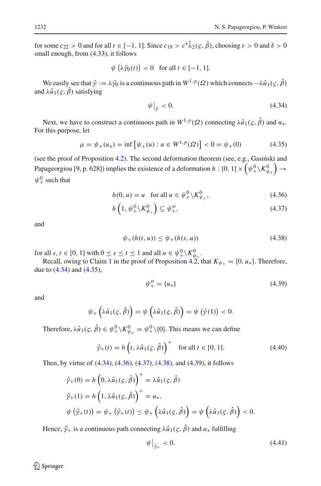for some  $c_{22} > 0$  and for all  $t \in [-1, 1]$ . Since  $c_{19} > c^* \hat{\lambda}_2(\varsigma, \hat{\beta})$ , choosing  $\varepsilon > 0$  and  $\delta > 0$ small enough, from  $(4.33)$ , it follows

$$
\psi\left(\lambda\hat{\gamma}_0(t)\right) < 0 \quad \text{for all } t \in [-1, 1].
$$

We easily see that  $\hat{\gamma} := \lambda \hat{\gamma}_0$  is a continuous path in  $W^{1,p}(\Omega)$  which connects  $-\lambda \hat{u}_1(\zeta, \hat{\beta})$ and  $\lambda \hat{u}_1(\varsigma, \hat{\beta})$  satisfying

<span id="page-25-1"></span><span id="page-25-0"></span>
$$
\psi\big|_{\hat{\mathcal{V}}} < 0. \tag{4.34}
$$

Next, we have to construct a continuous path in  $W^{1,p}(\Omega)$  connecting  $\lambda \hat{u}_1(\varsigma, \hat{\beta})$  and  $u_*$ . For this purpose, let

$$
\mu = \psi_{+}(u_{*}) = \inf \left[ \psi_{+}(u) : u \in W^{1,p}(\Omega) \right] < 0 = \psi_{+}(0) \tag{4.35}
$$

(see the proof of Proposition  $4.2$ ). The second deformation theorem (see, e.g., Gasiński and Papageorgiou [\[9,](#page-28-16) p. 628]) implies the existence of a deformation  $h: [0, 1] \times (\psi_+^0 \setminus K^0_{\psi_+})$  $) \rightarrow$  $\psi_+^0$  such that

<span id="page-25-2"></span>
$$
h(0, u) = u \quad \text{for all } u \in \psi^0_+ \backslash K^0_{\psi_+}, \tag{4.36}
$$

$$
h\left(1, \psi_+^0 \backslash K_{\psi_+}^0\right) \subseteq \psi_+^\mu, \tag{4.37}
$$

and

<span id="page-25-3"></span>
$$
\psi_{+}(h(t, u)) \le \psi_{+}(h(s, u)) \tag{4.38}
$$

for all *s*, *t* ∈ [0, 1] with  $0 \le s \le t \le 1$  and all  $u \in \psi^0_+ \setminus K^0_{\psi^-}$ .

Recall, owing to Claim [1](#page-19-2) in the proof of Proposition [4.2,](#page-19-3) that  $K_{\psi_+} = \{0, u_*\}$ . Therefore, due to [\(4.34\)](#page-25-0) and [\(4.35\)](#page-25-1),

<span id="page-25-5"></span><span id="page-25-4"></span>
$$
\psi_{+}^{\mu} = \{u_{*}\}\tag{4.39}
$$

and

$$
\psi_+\left(\lambda\hat{u}_1(\varsigma,\hat{\beta})\right)=\psi\left(\lambda\hat{u}_1(\varsigma,\hat{\beta})\right)=\psi\left(\hat{\gamma}(1)\right)<0.
$$

Therefore,  $\lambda \hat{u}_1(\varsigma, \hat{\beta}) \in \psi_+^0 \setminus K_{\psi_+}^0 = \psi_+^0 \setminus \{0\}$ . This means we can define

$$
\hat{\gamma}_+(t) = h\left(t, \lambda \hat{u}_1(\varsigma, \hat{\beta})\right)^+ \quad \text{for all } t \in [0, 1]. \tag{4.40}
$$

Then, by virtue of [\(4.34\)](#page-25-0), [\(4.36\)](#page-25-2), [\(4.37\)](#page-25-3), [\(4.38\)](#page-25-4), and [\(4.39\)](#page-25-5), it follows

$$
\hat{\gamma}_{+}(0) = h\left(0, \lambda \hat{u}_{1}(\varsigma, \hat{\beta})\right)^{+} = \lambda \hat{u}_{1}(\varsigma, \hat{\beta})
$$
\n
$$
\hat{\gamma}_{+}(1) = h\left(1, \lambda \hat{u}_{1}(\varsigma, \hat{\beta})\right)^{+} = u_{*},
$$
\n
$$
\psi\left(\hat{\gamma}_{+}(t)\right) = \psi_{+}\left(\hat{\gamma}_{+}(t)\right) \leq \psi_{+}\left(\lambda \hat{u}_{1}(\varsigma, \hat{\beta})\right) = \psi\left(\lambda \hat{u}_{1}(\varsigma, \hat{\beta})\right) < 0.
$$

Hence,  $\hat{\gamma}_+$  is a continuous path connecting  $\lambda \hat{u}_1(\varsigma, \hat{\beta})$  and  $u_*$  fulfilling

<span id="page-25-6"></span>
$$
\psi\big|_{\hat{\gamma}_+} < 0. \tag{4.41}
$$

 $\circledcirc$  Springer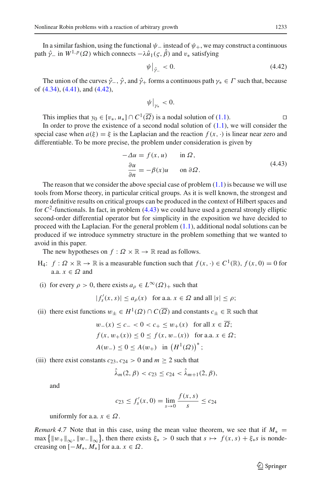In a similar fashion, using the functional  $\psi_-$  instead of  $\psi_+$ , we may construct a continuous path  $\hat{\gamma}$  in  $W^{1,p}(\Omega)$  which connects  $-\lambda \hat{u}_1(\varsigma,\hat{\beta})$  and  $v_*$  satisfying

<span id="page-26-0"></span>
$$
\psi\big|_{\hat{\gamma}_-} < 0. \tag{4.42}
$$

The union of the curves  $\hat{\gamma}_-$ ,  $\hat{\gamma}$ , and  $\hat{\gamma}_+$  forms a continuous path  $\gamma_* \in \Gamma$  such that, because of [\(4.34\)](#page-25-0), [\(4.41\)](#page-25-6), and [\(4.42\)](#page-26-0),

$$
\psi\big|_{\gamma_*}<0.
$$

This implies that  $y_0 \in [v_*, u_*] \cap C^1(\overline{\Omega})$  is a nodal solution of [\(1.1\)](#page-0-0).

In order to prove the existence of a second nodal solution of  $(1.1)$ , we will consider the special case when  $a(\xi) = \xi$  is the Laplacian and the reaction  $f(x, \cdot)$  is linear near zero and differentiable. To be more precise, the problem under consideration is given by

$$
-\Delta u = f(x, u) \quad \text{in } \Omega,
$$
  

$$
\frac{\partial u}{\partial n} = -\beta(x)u \quad \text{on } \partial \Omega.
$$
 (4.43)

<span id="page-26-1"></span>The reason that we consider the above special case of problem  $(1.1)$  is because we will use tools from Morse theory, in particular critical groups. As it is well known, the strongest and more definitive results on critical groups can be produced in the context of Hilbert spaces and for  $C^2$ -functionals. In fact, in problem [\(4.43\)](#page-26-1) we could have used a general strongly elliptic second-order differential operator but for simplicity in the exposition we have decided to proceed with the Laplacian. For the general problem [\(1.1\)](#page-0-0), additional nodal solutions can be produced if we introduce symmetry structure in the problem something that we wanted to avoid in this paper.

The new hypotheses on  $f : \Omega \times \mathbb{R} \to \mathbb{R}$  read as follows.

- H<sub>4</sub>: *f* :  $\Omega \times \mathbb{R}$  →  $\mathbb{R}$  is a measurable function such that *f*(*x*, ·) ∈ *C*<sup>1</sup>( $\mathbb{R}$ ), *f*(*x*, 0) = 0 for a.a.  $x \in \Omega$  and
- (i) for every  $\rho > 0$ , there exists  $a_{\rho} \in L^{\infty}(\Omega)_{+}$  such that

 $|f'_{s}(x, s)| \le a_{\rho}(x)$  for a.a.  $x \in \Omega$  and all  $|s| \le \rho$ ;

(ii) there exist functions  $w_+ \in H^1(\Omega) \cap C(\overline{\Omega})$  and constants  $c_+ \in \mathbb{R}$  such that

$$
w_{-}(x) \le c_{-} < 0 < c_{+} \le w_{+}(x) \quad \text{for all } x \in \overline{\Omega};
$$
\n
$$
f(x, w_{+}(x)) \le 0 \le f(x, w_{-}(x)) \quad \text{for a.a. } x \in \Omega;
$$
\n
$$
A(w_{-}) \le 0 \le A(w_{+}) \quad \text{in } \left(H^{1}(\Omega)\right)^{*};
$$

(iii) there exist constants  $c_{23}$ ,  $c_{24} > 0$  and  $m \ge 2$  such that

$$
\hat{\lambda}_m(2,\beta) < c_{23} \leq c_{24} < \hat{\lambda}_{m+1}(2,\beta),
$$

and

$$
c_{23} \le f'_s(x,0) = \lim_{s \to 0} \frac{f(x,s)}{s} \le c_{24}
$$

uniformly for a.a.  $x \in \Omega$ .

<span id="page-26-2"></span>*Remark 4.7* Note that in this case, using the mean value theorem, we see that if  $M_* =$  $\max\left\{\|w_{+}\|_{\infty}, \|w_{-}\|_{\infty}\right\}$ , then there exists  $\xi_* > 0$  such that  $s \mapsto f(x, s) + \xi_* s$  is nondecreasing on  $[-M_*, M_*]$  for a.a.  $x \in \Omega$ .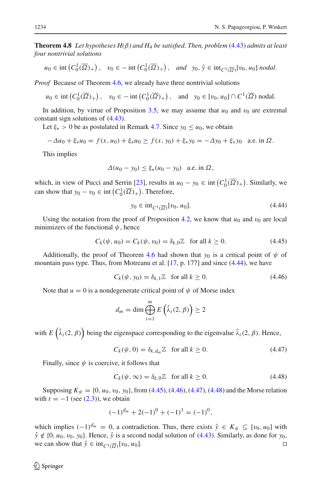**Theorem 4.8** *Let hypotheses H(*β*) and H*<sup>4</sup> *be satisfied. Then, problem* [\(4.43\)](#page-26-1) *admits at least four nontrivial solutions*

$$
u_0 \in \text{int}\left(C_0^1(\overline{\Omega})_+\right), \quad v_0 \in -\text{int}\left(C_0^1(\overline{\Omega})_+\right), \quad \text{and} \quad y_0, \hat{y} \in \text{int}_{C^1(\overline{\Omega})}[v_0, u_0] \text{ nodal}.
$$

*Proof* Because of Theorem [4.6,](#page-22-2) we already have three nontrivial solutions

$$
u_0 \in \text{int}\left(C_0^1(\overline{\Omega})_+\right), \quad v_0 \in -\text{int}\left(C_0^1(\overline{\Omega})_+\right), \quad \text{and} \quad y_0 \in [v_0, u_0] \cap C^1(\overline{\Omega}) \text{ nodal.}
$$

In addition, by virtue of Proposition [3.5,](#page-14-2) we may assume that  $u_0$  and  $v_0$  are extremal constant sign solutions of [\(4.43\)](#page-26-1).

Let  $\xi_* > 0$  be as postulated in Remark [4.7.](#page-26-2) Since  $y_0 \le u_0$ , we obtain

$$
-\Delta u_0 + \xi_* u_0 = f(x, u_0) + \xi_* u_0 \ge f(x, y_0) + \xi_* y_0 = -\Delta y_0 + \xi_* y_0 \quad \text{a.e. in } \Omega.
$$

This implies

$$
\Delta(u_0 - y_0) \le \xi_*(u_0 - y_0) \quad \text{a.e. in } \Omega,
$$

which, in view of Pucci and Serrin [\[23\]](#page-28-11), results in  $u_0 - y_0 \in \text{int}\left(C_0^1(\overline{\Omega})_+\right)$ . Similarly, we can show that  $y_0 - v_0 \in \text{int}\left(C_0^1(\overline{\Omega})_+\right)$ . Therefore,

<span id="page-27-1"></span><span id="page-27-0"></span>
$$
y_0 \in \text{int}_{C^1(\overline{\Omega})} [v_0, u_0]. \tag{4.44}
$$

Using the notation from the proof of Proposition [4.2,](#page-19-3) we know that  $u_0$  and  $v_0$  are local minimizers of the functional  $\psi$ , hence

$$
C_k(\psi, u_0) = C_k(\psi, v_0) = \delta_{k,0} \mathbb{Z} \quad \text{for all } k \ge 0.
$$
 (4.45)

Additionally, the proof of Theorem [4.6](#page-22-2) had shown that  $y_0$  is a critical point of  $\psi$  of mountain pass type. Thus, from Motreanu et al. [\[17,](#page-28-26) p. 177] and since [\(4.44\)](#page-27-0), we have

<span id="page-27-2"></span>
$$
C_k(\psi, y_0) = \delta_{k,1}\mathbb{Z} \quad \text{for all } k \ge 0. \tag{4.46}
$$

Note that  $u = 0$  is a nondegenerate critical point of  $\psi$  of Morse index

$$
d_m = \dim \bigoplus_{i=1}^m E\left(\hat{\lambda}_i(2,\beta)\right) \ge 2
$$

with  $E(\hat{\lambda}_i(2,\beta))$  being the eigenspace corresponding to the eigenvalue  $\hat{\lambda}_i(2,\beta)$ . Hence,

<span id="page-27-3"></span>
$$
C_k(\psi, 0) = \delta_{k,d_m} \mathbb{Z} \quad \text{for all } k \ge 0.
$$
 (4.47)

Finally, since  $\psi$  is coercive, it follows that

<span id="page-27-4"></span>
$$
C_k(\psi, \infty) = \delta_{k,0}\mathbb{Z} \quad \text{for all } k \ge 0. \tag{4.48}
$$

Supposing  $K_{\psi} = \{0, u_0, v_0, v_0\}$ , from [\(4.45\)](#page-27-1), [\(4.46\)](#page-27-2), [\(4.47\)](#page-27-3), [\(4.48\)](#page-27-4) and the Morse relation with  $t = -1$  (see  $(2.3)$ ), we obtain

$$
(-1)^{d_m} + 2(-1)^0 + (-1)^1 = (-1)^0,
$$

which implies  $(-1)^{d_m} = 0$ , a contradiction. Thus, there exists  $\hat{y} \in K_{\psi} \subseteq [v_0, u_0]$  with  $\hat{y} \notin \{0, u_0, v_0, y_0\}$ . Hence,  $\hat{y}$  is a second nodal solution of [\(4.43\)](#page-26-1). Similarly, as done for  $y_0$ , we can show that  $\hat{y} \in \text{int}_{C^1(\overline{\Omega})}[v_0, u_0].$